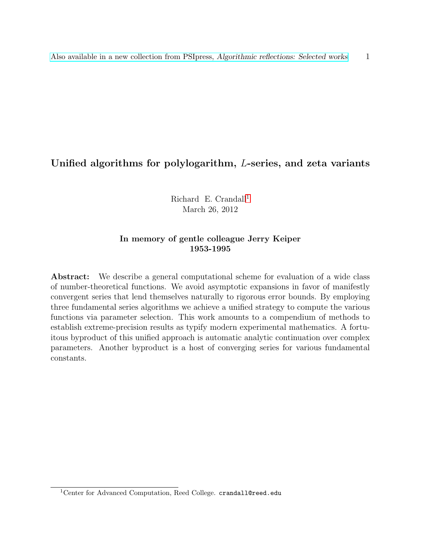# Unified algorithms for polylogarithm, L-series, and zeta variants

Richard E. Crandall<sup>[1](#page-0-0)</sup> March 26, 2012

#### In memory of gentle colleague Jerry Keiper 1953-1995

Abstract: We describe a general computational scheme for evaluation of a wide class of number-theoretical functions. We avoid asymptotic expansions in favor of manifestly convergent series that lend themselves naturally to rigorous error bounds. By employing three fundamental series algorithms we achieve a unified strategy to compute the various functions via parameter selection. This work amounts to a compendium of methods to establish extreme-precision results as typify modern experimental mathematics. A fortuitous byproduct of this unified approach is automatic analytic continuation over complex parameters. Another byproduct is a host of converging series for various fundamental constants.

<span id="page-0-0"></span><sup>&</sup>lt;sup>1</sup>Center for Advanced Computation, Reed College. crandall@reed.edu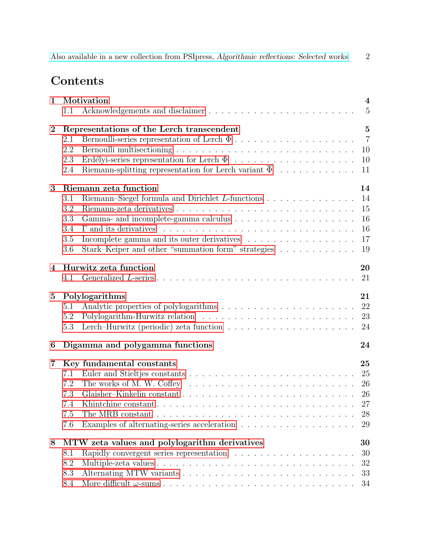| Also available in a new collection from PSIpress, Algorithmic reflections: Selected works |  |  |
|-------------------------------------------------------------------------------------------|--|--|
|-------------------------------------------------------------------------------------------|--|--|

# Contents

| $\mathbf{1}$ |     | Motivation                                                                                   | $\overline{4}$ |
|--------------|-----|----------------------------------------------------------------------------------------------|----------------|
|              | 1.1 |                                                                                              | $\overline{5}$ |
| $\bf{2}$     |     | Representations of the Lerch transcendent                                                    | $\overline{5}$ |
|              | 2.1 |                                                                                              | $\overline{7}$ |
|              | 2.2 |                                                                                              | 10             |
|              | 2.3 |                                                                                              | 10             |
|              | 2.4 | Riemann-splitting representation for Lerch variant $\overline{\Phi} \dots \dots \dots \dots$ | 11             |
| 3            |     | Riemann zeta function                                                                        | 14             |
|              | 3.1 |                                                                                              | 14             |
|              | 3.2 |                                                                                              | 15             |
|              | 3.3 |                                                                                              | 16             |
|              | 3.4 |                                                                                              | 16             |
|              | 3.5 |                                                                                              | 17             |
|              | 3.6 | Stark–Keiper and other "summation form" strategies                                           | 19             |
| 4            |     | Hurwitz zeta function                                                                        | 20             |
|              | 4.1 |                                                                                              | 21             |
| $\bf{5}$     |     | Polylogarithms                                                                               | 21             |
|              | 5.1 |                                                                                              | 22             |
|              | 5.2 |                                                                                              | 23             |
|              | 5.3 | Lerch-Hurwitz (periodic) zeta function $\ldots \ldots \ldots \ldots \ldots \ldots \ldots$    | 24             |
| 6            |     | Digamma and polygamma functions                                                              | 24             |
| 7            |     | Key fundamental constants                                                                    | 25             |
|              | 7.1 |                                                                                              | 25             |
|              | 7.2 | The works of M. W. Coffey $\ldots \ldots \ldots \ldots \ldots \ldots \ldots \ldots \ldots$   | 26             |
|              | 7.3 |                                                                                              | 26             |
|              | 7.4 |                                                                                              | 27             |
|              | 7.5 | The MRB constant $\ldots \ldots \ldots \ldots \ldots \ldots \ldots \ldots \ldots \ldots$     | 28             |
|              | 7.6 |                                                                                              | 29             |
| 8            |     | MTW zeta values and polylogarithm derivatives                                                | 30             |
|              | 8.1 |                                                                                              | 30             |
|              | 8.2 |                                                                                              | 32             |
|              | 8.3 |                                                                                              | 33             |
|              | 8.4 |                                                                                              | 34             |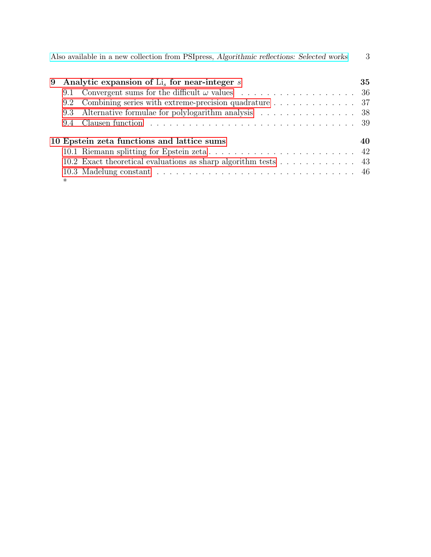| 9   | Analytic expansion of $Lis$ for near-integer s                                             | 35 |
|-----|--------------------------------------------------------------------------------------------|----|
| 9.1 |                                                                                            |    |
| 9.2 | Combining series with extreme-precision quadrature $\ldots \ldots \ldots \ldots \ldots$ 37 |    |
| 9.3 | Alternative formulae for polylogarithm analysis 38                                         |    |
| 9.4 |                                                                                            |    |
|     | 10 Epstein zeta functions and lattice sums                                                 | 40 |
|     |                                                                                            |    |
|     | 10.2 Exact theoretical evaluations as sharp algorithm tests 43                             |    |
|     |                                                                                            |    |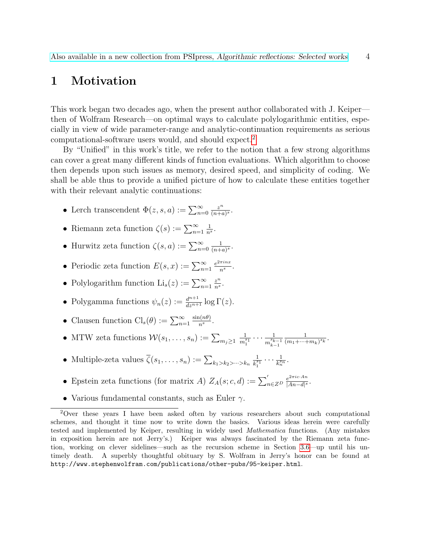# <span id="page-3-0"></span>1 Motivation

This work began two decades ago, when the present author collaborated with J. Keiper then of Wolfram Research—on optimal ways to calculate polylogarithmic entities, especially in view of wide parameter-range and analytic-continuation requirements as serious computational-software users would, and should expect.[2](#page-3-1)

By "Unified" in this work's title, we refer to the notion that a few strong algorithms can cover a great many different kinds of function evaluations. Which algorithm to choose then depends upon such issues as memory, desired speed, and simplicity of coding. We shall be able thus to provide a unified picture of how to calculate these entities together with their relevant analytic continuations:

- Lerch transcendent  $\Phi(z, s, a) := \sum_{n=0}^{\infty}$ z n  $\frac{z^n}{(n+a)^s}$ .
- Riemann zeta function  $\zeta(s) := \sum_{n=1}^{\infty}$ 1  $\frac{1}{n^s}$ .
- Hurwitz zeta function  $\zeta(s, a) := \sum_{n=0}^{\infty}$ 1  $\frac{1}{(n+a)^s}$ .
- Periodic zeta function  $E(s, x) := \sum_{n=1}^{\infty}$  $e^{2\pi inx}$  $\frac{n_{ins}}{n^s}$ .
- Polylogarithm function  $\text{Li}_s(z) := \sum_{n=1}^{\infty}$ z n  $\frac{z^n}{n^s}$ .
- Polygamma functions  $\psi_n(z) := \frac{d^{n+1}}{dz^{n+1}} \log \Gamma(z)$ .
- Clausen function  $\text{Cl}_s(\theta) := \sum_{n=1}^{\infty}$  $\sin(n\theta)$  $\frac{n(n\theta)}{n^s}$ .
- MTW zeta functions  $\mathcal{W}(s_1, \ldots, s_n) := \sum_{m_j \geq 1}$ 1  $\frac{1}{m_1^{s_1}} \cdots \frac{1}{m_{k-1}^{s_k}}$  $m_{k-1}^{s_{k-1}}$ 1  $\frac{1}{(m_1+\cdots+m_k)^{s_k}}.$
- Multiple-zeta values  $\zeta(s_1, \ldots, s_n) := \sum_{k_1 > k_2 > \cdots > k_n}$ 1  $\frac{1}{k_1^{s_1}} \cdots \frac{1}{k_n^{s_n}}$  $\frac{1}{k_n^{s_n}}.$
- Epstein zeta functions (for matrix A)  $Z_A(s; c, d) := \sum_{n \in \mathbb{Z}^D} \frac{e^{2\pi i c \cdot An}}{|A_n d|^s}$  $rac{e^{2\pi i c\cdot An}}{|An-d|^s}$ .
- <span id="page-3-1"></span>• Various fundamental constants, such as Euler  $\gamma$ .

<sup>2</sup>Over these years I have been asked often by various researchers about such computational schemes, and thought it time now to write down the basics. Various ideas herein were carefully tested and implemented by Keiper, resulting in widely used Mathematica functions. (Any mistakes in exposition herein are not Jerry's.) Keiper was always fascinated by the Riemann zeta function, working on clever sidelines—such as the recursion scheme in Section [3.6—](#page-18-0)up until his untimely death. A superbly thoughtful obituary by S. Wolfram in Jerry's honor can be found at http://www.stephenwolfram.com/publications/other-pubs/95-keiper.html.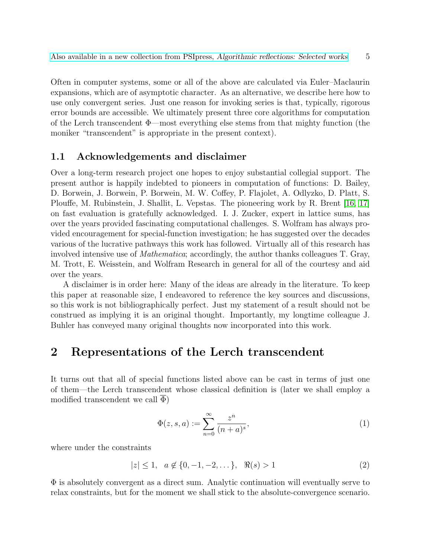Often in computer systems, some or all of the above are calculated via Euler–Maclaurin expansions, which are of asymptotic character. As an alternative, we describe here how to use only convergent series. Just one reason for invoking series is that, typically, rigorous error bounds are accessible. We ultimately present three core algorithms for computation of the Lerch transcendent  $\Phi$ —most everything else stems from that mighty function (the moniker "transcendent" is appropriate in the present context).

### <span id="page-4-0"></span>1.1 Acknowledgements and disclaimer

Over a long-term research project one hopes to enjoy substantial collegial support. The present author is happily indebted to pioneers in computation of functions: D. Bailey, D. Borwein, J. Borwein, P. Borwein, M. W. Coffey, P. Flajolet, A. Odlyzko, D. Platt, S. Plouffe, M. Rubinstein, J. Shallit, L. Vepstas. The pioneering work by R. Brent [\[16,](#page-49-0) [17\]](#page-49-1) on fast evaluation is gratefully acknowledged. I. J. Zucker, expert in lattice sums, has over the years provided fascinating computational challenges. S. Wolfram has always provided encouragement for special-function investigation; he has suggested over the decades various of the lucrative pathways this work has followed. Virtually all of this research has involved intensive use of Mathematica; accordingly, the author thanks colleagues T. Gray, M. Trott, E. Weisstein, and Wolfram Research in general for all of the courtesy and aid over the years.

A disclaimer is in order here: Many of the ideas are already in the literature. To keep this paper at reasonable size, I endeavored to reference the key sources and discussions, so this work is not bibliographically perfect. Just my statement of a result should not be construed as implying it is an original thought. Importantly, my longtime colleague J. Buhler has conveyed many original thoughts now incorporated into this work.

# <span id="page-4-1"></span>2 Representations of the Lerch transcendent

It turns out that all of special functions listed above can be cast in terms of just one of them—the Lerch transcendent whose classical definition is (later we shall employ a modified transcendent we call  $\Phi$ )

<span id="page-4-2"></span>
$$
\Phi(z, s, a) := \sum_{n=0}^{\infty} \frac{z^n}{(n+a)^s},
$$
\n(1)

where under the constraints

<span id="page-4-3"></span>
$$
|z| \le 1, \quad a \notin \{0, -1, -2, \dots\}, \quad \Re(s) > 1 \tag{2}
$$

 $\Phi$  is absolutely convergent as a direct sum. Analytic continuation will eventually serve to relax constraints, but for the moment we shall stick to the absolute-convergence scenario.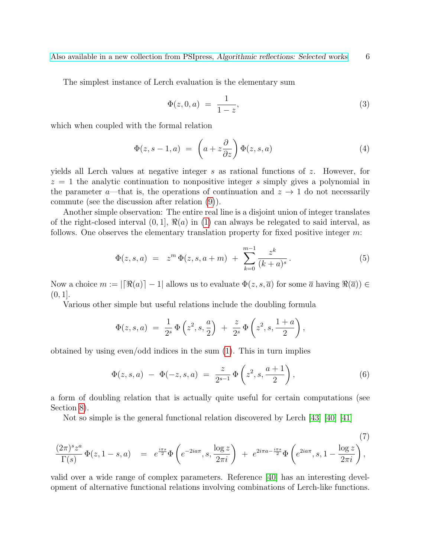The simplest instance of Lerch evaluation is the elementary sum

<span id="page-5-1"></span>
$$
\Phi(z,0,a) = \frac{1}{1-z},\tag{3}
$$

which when coupled with the formal relation

<span id="page-5-2"></span>
$$
\Phi(z, s-1, a) = \left(a + z \frac{\partial}{\partial z}\right) \Phi(z, s, a) \tag{4}
$$

yields all Lerch values at negative integer s as rational functions of z. However, for  $z = 1$  the analytic continuation to nonpositive integer s simply gives a polynomial in the parameter a—that is, the operations of continuation and  $z \to 1$  do not necessarily commute (see the discussion after relation [\(9\)](#page-6-1)).

Another simple observation: The entire real line is a disjoint union of integer translates of the right-closed interval  $(0, 1]$ ,  $\Re(a)$  in [\(1\)](#page-4-2) can always be relegated to said interval, as follows. One observes the elementary translation property for fixed positive integer m:

<span id="page-5-3"></span>
$$
\Phi(z,s,a) = z^m \Phi(z,s,a+m) + \sum_{k=0}^{m-1} \frac{z^k}{(k+a)^s}.
$$
 (5)

Now a choice  $m := |\mathfrak{R}(a)| - 1|$  allows us to evaluate  $\Phi(z, s, \overline{a})$  for some  $\overline{a}$  having  $\Re(\overline{a}) \in$  $(0, 1].$ 

Various other simple but useful relations include the doubling formula

$$
\Phi(z,s,a) = \frac{1}{2^s} \Phi\left(z^2,s,\frac{a}{2}\right) + \frac{z}{2^s} \Phi\left(z^2,s,\frac{1+a}{2}\right),
$$

obtained by using even/odd indices in the sum [\(1\)](#page-4-2). This in turn implies

<span id="page-5-4"></span>
$$
\Phi(z,s,a) - \Phi(-z,s,a) = \frac{z}{2^{s-1}} \Phi\left(z^2,s,\frac{a+1}{2}\right),\tag{6}
$$

a form of doubling relation that is actually quite useful for certain computations (see Section [8\)](#page-29-0).

<span id="page-5-0"></span>Not so simple is the general functional relation discovered by Lerch [\[43\]](#page-51-0) [\[40\]](#page-50-0) [\[41\]](#page-51-1)

$$
\frac{(2\pi)^s z^a}{\Gamma(s)} \Phi(z, 1-s, a) = e^{\frac{i\pi s}{2}} \Phi\left(e^{-2ia\pi}, s, \frac{\log z}{2\pi i}\right) + e^{2i\pi a - \frac{i\pi s}{2}} \Phi\left(e^{2ia\pi}, s, 1-\frac{\log z}{2\pi i}\right),\tag{7}
$$

valid over a wide range of complex parameters. Reference [\[40\]](#page-50-0) has an interesting development of alternative functional relations involving combinations of Lerch-like functions.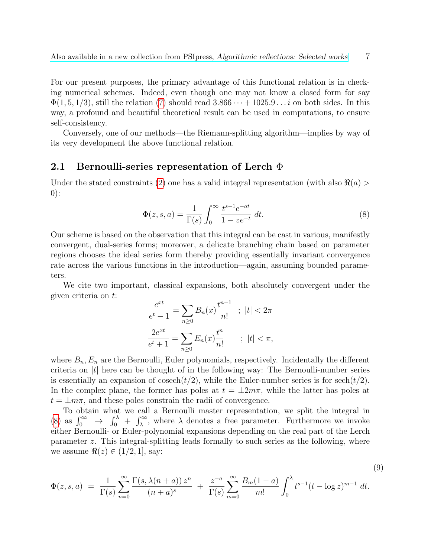For our present purposes, the primary advantage of this functional relation is in checking numerical schemes. Indeed, even though one may not know a closed form for say  $\Phi(1, 5, 1/3)$ , still the relation [\(7\)](#page-5-0) should read  $3.866 \cdots + 1025.9 \ldots i$  on both sides. In this way, a profound and beautiful theoretical result can be used in computations, to ensure self-consistency.

Conversely, one of our methods—the Riemann-splitting algorithm—implies by way of its very development the above functional relation.

#### <span id="page-6-0"></span>2.1 Bernoulli-series representation of Lerch Φ

Under the stated constraints [\(2\)](#page-4-3) one has a valid integral representation (with also  $\Re(a)$ ) 0):

<span id="page-6-2"></span>
$$
\Phi(z, s, a) = \frac{1}{\Gamma(s)} \int_0^\infty \frac{t^{s-1} e^{-at}}{1 - z e^{-t}} dt.
$$
\n(8)

Our scheme is based on the observation that this integral can be cast in various, manifestly convergent, dual-series forms; moreover, a delicate branching chain based on parameter regions chooses the ideal series form thereby providing essentially invariant convergence rate across the various functions in the introduction—again, assuming bounded parameters.

We cite two important, classical expansions, both absolutely convergent under the given criteria on t:

<span id="page-6-1"></span>
$$
\frac{e^{xt}}{e^t - 1} = \sum_{n \ge 0} B_n(x) \frac{t^{n-1}}{n!} \quad ; \quad |t| < 2\pi
$$
\n
$$
\frac{2e^{xt}}{e^t + 1} = \sum_{n \ge 0} E_n(x) \frac{t^n}{n!} \quad ; \quad |t| < \pi,
$$

where  $B_n, E_n$  are the Bernoulli, Euler polynomials, respectively. Incidentally the different criteria on  $|t|$  here can be thought of in the following way: The Bernoulli-number series is essentially an expansion of cosech $(t/2)$ , while the Euler-number series is for sech $(t/2)$ . In the complex plane, the former has poles at  $t = \pm 2m\pi$ , while the latter has poles at  $t = \pm m\pi$ , and these poles constrain the radii of convergence.

To obtain what we call a Bernoulli master representation, we split the integral in [\(8\)](#page-6-2) as  $\int_0^\infty \to \int_0^\lambda + \int_\lambda^\infty$ , where  $\lambda$  denotes a free parameter. Furthermore we invoke either Bernoulli- or Euler-polynomial expansions depending on the real part of the Lerch parameter z. This integral-splitting leads formally to such series as the following, where we assume  $\Re(z) \in (1/2, 1]$ , say:

$$
\Phi(z,s,a) = \frac{1}{\Gamma(s)} \sum_{n=0}^{\infty} \frac{\Gamma(s,\lambda(n+a)) z^n}{(n+a)^s} + \frac{z^{-a}}{\Gamma(s)} \sum_{m=0}^{\infty} \frac{B_m(1-a)}{m!} \int_0^{\lambda} t^{s-1} (t-\log z)^{m-1} dt.
$$
\n(9)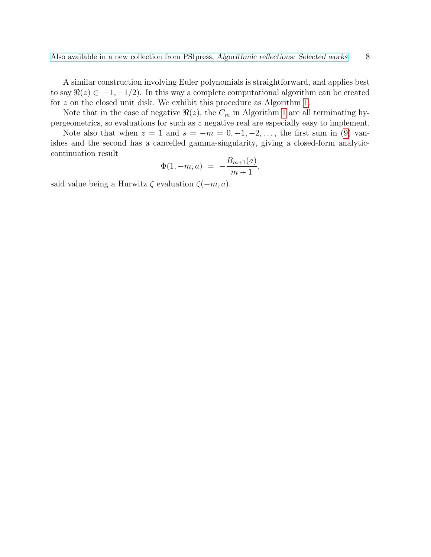A similar construction involving Euler polynomials is straightforward, and applies best to say  $\Re(z) \in [-1, -1/2)$ . In this way a complete computational algorithm can be created for z on the closed unit disk. We exhibit this procedure as Algorithm [1.](#page-8-0)

Note that in the case of negative  $\Re(z)$ , the  $C_m$  in Algorithm [1](#page-8-0) are all terminating hypergeometrics, so evaluations for such as z negative real are especially easy to implement.

Note also that when  $z = 1$  and  $s = -m = 0, -1, -2, \ldots$ , the first sum in [\(9\)](#page-6-1) vanishes and the second has a cancelled gamma-singularity, giving a closed-form analyticcontinuation result

$$
\Phi(1,-m,a) = -\frac{B_{m+1}(a)}{m+1},
$$

said value being a Hurwitz  $\zeta$  evaluation  $\zeta(-m, a)$ .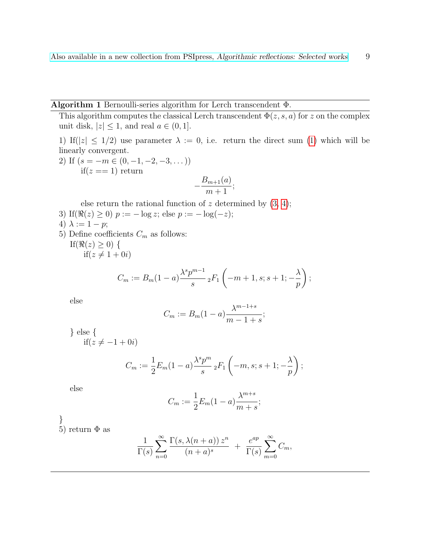### <span id="page-8-0"></span>Algorithm 1 Bernoulli-series algorithm for Lerch transcendent Φ.

This algorithm computes the classical Lerch transcendent  $\Phi(z, s, a)$  for z on the complex unit disk,  $|z| \leq 1$ , and real  $a \in (0, 1]$ .

1) If( $|z| \leq 1/2$ ) use parameter  $\lambda := 0$ , i.e. return the direct sum [\(1\)](#page-4-2) which will be linearly convergent.

2) If  $(s = -m \in (0, -1, -2, -3, ...)$ if( $z == 1$ ) return

$$
-\frac{B_{m+1}(a)}{m+1};
$$

else return the rational function of  $z$  determined by  $(3, 4)$  $(3, 4)$ ;

- 3) If( $\Re(z) \ge 0$ )  $p := -\log z$ ; else  $p := -\log(-z)$ ;
- 4)  $\lambda := 1 p;$
- 5) Define coefficients  $C_m$  as follows:

If( $\Re(z) \geq 0$ ) {  $if(z \neq 1 + 0i)$ 

$$
C_m := B_m(1-a)\frac{\lambda^s p^{m-1}}{s} {}_2F_1\left(-m+1, s; s+1; -\frac{\lambda}{p}\right);
$$

else

$$
C_m := B_m(1 - a) \frac{\lambda^{m-1+s}}{m-1+s};
$$

} else {  $if(z \neq -1 + 0i)$ 

$$
C_m := \frac{1}{2} E_m (1 - a) \frac{\lambda^s p^m}{s} {}_2F_1 \left( -m, s; s + 1; -\frac{\lambda}{p} \right);
$$

else

$$
C_m:=\frac{1}{2}E_m(1-a)\frac{\lambda^{m+s}}{m+s};
$$

} 5) return  $\Phi$  as

$$
\frac{1}{\Gamma(s)}\sum_{n=0}^{\infty}\frac{\Gamma(s,\lambda(n+a))z^n}{(n+a)^s} + \frac{e^{ap}}{\Gamma(s)}\sum_{m=0}^{\infty}C_m,
$$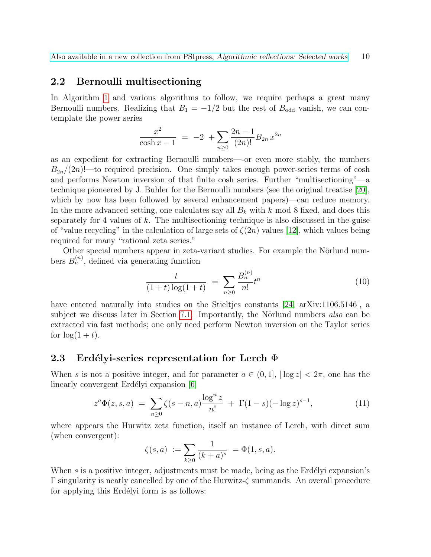#### <span id="page-9-0"></span>2.2 Bernoulli multisectioning

In Algorithm [1](#page-8-0) and various algorithms to follow, we require perhaps a great many Bernoulli numbers. Realizing that  $B_1 = -1/2$  but the rest of  $B_{odd}$  vanish, we can contemplate the power series

$$
\frac{x^2}{\cosh x - 1} = -2 + \sum_{n \ge 0} \frac{2n - 1}{(2n)!} B_{2n} x^{2n}
$$

as an expedient for extracting Bernoulli numbers—-or even more stably, the numbers  $B_{2n}/(2n)!$ —to required precision. One simply takes enough power-series terms of cosh and performs Newton inversion of that finite cosh series. Further "multisectioning"—a technique pioneered by J. Buhler for the Bernoulli numbers (see the original treatise [\[20\]](#page-49-2), which by now has been followed by several enhancement papers)—can reduce memory. In the more advanced setting, one calculates say all  $B_k$  with k mod 8 fixed, and does this separately for 4 values of  $k$ . The multisectioning technique is also discussed in the guise of "value recycling" in the calculation of large sets of  $\zeta(2n)$  values [\[12\]](#page-48-0), which values being required for many "rational zeta series."

Other special numbers appear in zeta-variant studies. For example the Nörlund numbers  $B_n^{(n)}$ , defined via generating function

<span id="page-9-2"></span>
$$
\frac{t}{(1+t)\log(1+t)} = \sum_{n\geq 0} \frac{B_n^{(n)}}{n!} t^n \tag{10}
$$

have entered naturally into studies on the Stieltjes constants [\[24,](#page-49-3) arXiv:1106.5146], a subject we discuss later in Section [7.1.](#page-24-1) Importantly, the Nörlund numbers also can be extracted via fast methods; one only need perform Newton inversion on the Taylor series for  $\log(1+t)$ .

#### <span id="page-9-1"></span>2.3 Erdélyi-series representation for Lerch  $\Phi$

When s is not a positive integer, and for parameter  $a \in (0,1]$ ,  $|\log z| < 2\pi$ , one has the linearly convergent Erdélyi expansion [\[6\]](#page-48-1)

$$
z^{a}\Phi(z,s,a) = \sum_{n\geq 0} \zeta(s-n,a) \frac{\log^{n} z}{n!} + \Gamma(1-s)(-\log z)^{s-1}, \tag{11}
$$

where appears the Hurwitz zeta function, itself an instance of Lerch, with direct sum (when convergent):

$$
\zeta(s,a) := \sum_{k \ge 0} \frac{1}{(k+a)^s} = \Phi(1,s,a).
$$

When s is a positive integer, adjustments must be made, being as the Erdélyi expansion's  $\Gamma$  singularity is neatly cancelled by one of the Hurwitz- $\zeta$  summands. An overall procedure for applying this Erdélyi form is as follows: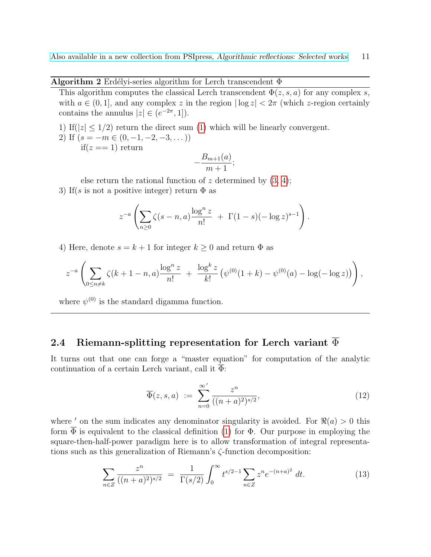<span id="page-10-2"></span>Algorithm 2 Erdélyi-series algorithm for Lerch transcendent  $\Phi$ 

This algorithm computes the classical Lerch transcendent  $\Phi(z, s, a)$  for any complex s, with  $a \in (0, 1]$ , and any complex z in the region  $|\log z| < 2\pi$  (which z-region certainly contains the annulus  $|z| \in (e^{-2\pi}, 1]$ .

1) If( $|z| \leq 1/2$ ) return the direct sum [\(1\)](#page-4-2) which will be linearly convergent.

2) If  $(s = -m \in (0, -1, -2, -3, ...)$ 

if( $z == 1$ ) return

$$
-\frac{B_{m+1}(a)}{m+1};
$$

else return the rational function of z determined by  $(3, 4)$  $(3, 4)$ ; 3) If(s is not a positive integer) return  $\Phi$  as

$$
z^{-a} \left( \sum_{n\geq 0} \zeta(s-n, a) \frac{\log^n z}{n!} + \Gamma(1-s) (-\log z)^{s-1} \right).
$$

4) Here, denote  $s = k + 1$  for integer  $k \geq 0$  and return  $\Phi$  as

$$
z^{-a}\left(\sum_{0\leq n\neq k}\zeta(k+1-n,a)\frac{\log^n z}{n!} + \frac{\log^k z}{k!}(\psi^{(0)}(1+k)-\psi^{(0)}(a)-\log(-\log z))\right),
$$

where  $\psi^{(0)}$  is the standard digamma function.

# <span id="page-10-0"></span>2.4 Riemann-splitting representation for Lerch variant  $\overline{\Phi}$

It turns out that one can forge a "master equation" for computation of the analytic continuation of a certain Lerch variant, call it Φ:

<span id="page-10-1"></span>
$$
\overline{\Phi}(z,s,a) := \sum_{n=0}^{\infty} \frac{z^n}{((n+a)^2)^{s/2}},
$$
\n(12)

where ' on the sum indicates any denominator singularity is avoided. For  $\Re(a) > 0$  this form  $\overline{\Phi}$  is equivalent to the classical definition [\(1\)](#page-4-2) for  $\Phi$ . Our purpose in employing the square-then-half-power paradigm here is to allow transformation of integral representations such as this generalization of Riemann's ζ-function decomposition:

$$
\sum_{n\in Z} \frac{z^n}{((n+a)^2)^{s/2}} = \frac{1}{\Gamma(s/2)} \int_0^\infty t^{s/2-1} \sum_{n\in Z} z^n e^{-(n+a)^2} dt.
$$
 (13)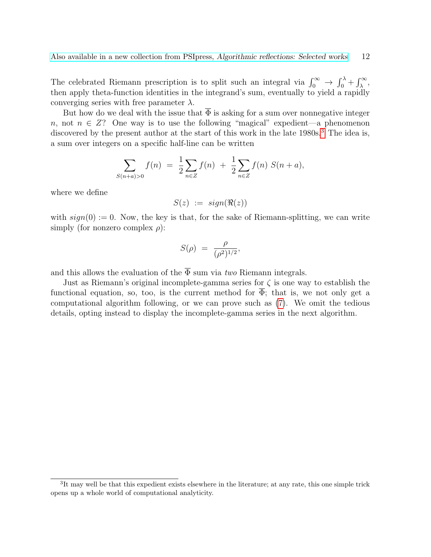The celebrated Riemann prescription is to split such an integral via  $\int_0^\infty \to \int_0^\lambda + \int_\lambda^\infty$ , then apply theta-function identities in the integrand's sum, eventually to yield a rapidly converging series with free parameter  $\lambda$ .

But how do we deal with the issue that  $\overline{\Phi}$  is asking for a sum over nonnegative integer n, not  $n \in \mathbb{Z}$ ? One way is to use the following "magical" expedient—a phenomenon discovered by the present author at the start of this work in the late 1980s.<sup>[3](#page-11-0)</sup> The idea is, a sum over integers on a specific half-line can be written

$$
\sum_{S(n+a)>0} f(n) = \frac{1}{2} \sum_{n \in \mathbb{Z}} f(n) + \frac{1}{2} \sum_{n \in \mathbb{Z}} f(n) S(n+a),
$$

where we define

$$
S(z) := sign(\Re(z))
$$

with  $sign(0) := 0$ . Now, the key is that, for the sake of Riemann-splitting, we can write simply (for nonzero complex  $\rho$ ):

$$
S(\rho) = \frac{\rho}{(\rho^2)^{1/2}},
$$

and this allows the evaluation of the  $\overline{\Phi}$  sum via *two* Riemann integrals.

Just as Riemann's original incomplete-gamma series for  $\zeta$  is one way to establish the functional equation, so, too, is the current method for  $\overline{\Phi}$ ; that is, we not only get a computational algorithm following, or we can prove such as [\(7\)](#page-5-0). We omit the tedious details, opting instead to display the incomplete-gamma series in the next algorithm.

<span id="page-11-0"></span><sup>&</sup>lt;sup>3</sup>It may well be that this expedient exists elsewhere in the literature; at any rate, this one simple trick opens up a whole world of computational analyticity.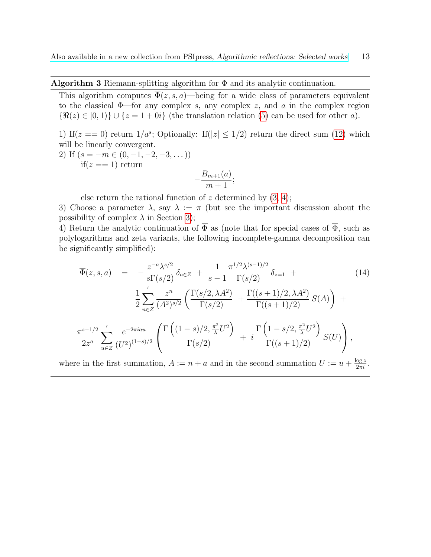<span id="page-12-0"></span>Algorithm 3 Riemann-splitting algorithm for  $\overline{\Phi}$  and its analytic continuation.

This algorithm computes  $\overline{\Phi}(z, s, a)$ —being for a wide class of parameters equivalent to the classical  $\Phi$ —for any complex s, any complex z, and a in the complex region  $\{\Re(z) \in [0,1)\} \cup \{z=1+0i\}$  (the translation relation [\(5\)](#page-5-3) can be used for other a).

1) If( $z = 0$ ) return  $1/a^s$ ; Optionally: If( $|z| \leq 1/2$ ) return the direct sum [\(12\)](#page-10-1) which will be linearly convergent.

2) If 
$$
(s = -m \in (0, -1, -2, -3, ...))
$$
  
if  $(z == 1)$  return

$$
-\frac{B_{m+1}(a)}{m+1};
$$

else return the rational function of z determined by  $(3, 4)$  $(3, 4)$ ;

3) Choose a parameter  $\lambda$ , say  $\lambda := \pi$  (but see the important discussion about the possibility of complex  $\lambda$  in Section [3\)](#page-13-0);

4) Return the analytic continuation of  $\overline{\Phi}$  as (note that for special cases of  $\overline{\Phi}$ , such as polylogarithms and zeta variants, the following incomplete-gamma decomposition can be significantly simplified):

$$
\overline{\Phi}(z,s,a) = -\frac{z^{-a}\lambda^{s/2}}{s\Gamma(s/2)} \delta_{a\in Z} + \frac{1}{s-1} \frac{\pi^{1/2}\lambda^{(s-1)/2}}{\Gamma(s/2)} \delta_{z=1} +
$$
\n
$$
\frac{1}{2} \sum_{n\in Z}^{\prime} \frac{z^n}{(A^2)^{s/2}} \left( \frac{\Gamma(s/2,\lambda A^2)}{\Gamma(s/2)} + \frac{\Gamma((s+1)/2,\lambda A^2)}{\Gamma((s+1)/2)} S(A) \right) +
$$
\n
$$
\frac{\pi^{s-1/2}}{2z^a} \sum_{u\in Z}^{\prime} \frac{e^{-2\pi i a u}}{(U^2)^{(1-s)/2}} \left( \frac{\Gamma\left((1-s)/2, \frac{\pi^2}{\lambda} U^2\right)}{\Gamma(s/2)} + i \frac{\Gamma\left(1-s/2, \frac{\pi^2}{\lambda} U^2\right)}{\Gamma((s+1)/2)} S(U) \right),
$$
\n(14)

where in the first summation,  $A := n + a$  and in the second summation  $U := u + \frac{\log z}{2\pi i}$ .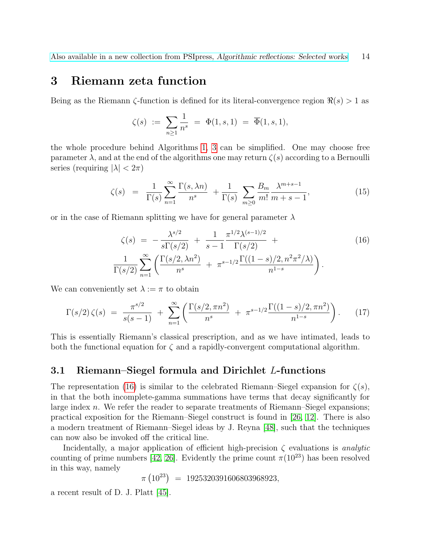# <span id="page-13-0"></span>3 Riemann zeta function

Being as the Riemann  $\zeta$ -function is defined for its literal-convergence region  $\Re(s) > 1$  as

$$
\zeta(s) \ := \ \sum_{n\geq 1} \frac{1}{n^s} \ = \ \Phi(1,s,1) \ = \ \overline{\Phi}(1,s,1),
$$

the whole procedure behind Algorithms [1,](#page-8-0) [3](#page-12-0) can be simplified. One may choose free parameter  $\lambda$ , and at the end of the algorithms one may return  $\zeta(s)$  according to a Bernoulli series (requiring  $|\lambda| < 2\pi$ )

<span id="page-13-3"></span>
$$
\zeta(s) = \frac{1}{\Gamma(s)} \sum_{n=1}^{\infty} \frac{\Gamma(s, \lambda n)}{n^s} + \frac{1}{\Gamma(s)} \sum_{m \ge 0} \frac{B_m}{m!} \frac{\lambda^{m+s-1}}{m+s-1},\tag{15}
$$

or in the case of Riemann splitting we have for general parameter  $\lambda$ 

<span id="page-13-2"></span>
$$
\zeta(s) = -\frac{\lambda^{s/2}}{s\Gamma(s/2)} + \frac{1}{s-1} \frac{\pi^{1/2} \lambda^{(s-1)/2}}{\Gamma(s/2)} +
$$
\n
$$
\frac{1}{\Gamma(s/2)} \sum_{n=1}^{\infty} \left( \frac{\Gamma(s/2, \lambda n^2)}{n^s} + \pi^{s-1/2} \frac{\Gamma((1-s)/2, n^2 \pi^2/\lambda)}{n^{1-s}} \right).
$$
\n(16)

We can conveniently set  $\lambda := \pi$  to obtain

<span id="page-13-4"></span>
$$
\Gamma(s/2)\zeta(s) = \frac{\pi^{s/2}}{s(s-1)} + \sum_{n=1}^{\infty} \left( \frac{\Gamma(s/2, \pi n^2)}{n^s} + \pi^{s-1/2} \frac{\Gamma((1-s)/2, \pi n^2)}{n^{1-s}} \right). \tag{17}
$$

This is essentially Riemann's classical prescription, and as we have intimated, leads to both the functional equation for  $\zeta$  and a rapidly-convergent computational algorithm.

### <span id="page-13-1"></span>3.1 Riemann–Siegel formula and Dirichlet L-functions

The representation [\(16\)](#page-13-2) is similar to the celebrated Riemann–Siegel expansion for  $\zeta(s)$ , in that the both incomplete-gamma summations have terms that decay significantly for large index n. We refer the reader to separate treatments of Riemann–Siegel expansions; practical exposition for the Riemann–Siegel construct is found in [\[26,](#page-50-1) [12\]](#page-48-0). There is also a modern treatment of Riemann–Siegel ideas by J. Reyna [\[48\]](#page-51-2), such that the techniques can now also be invoked off the critical line.

Incidentally, a major application of efficient high-precision  $\zeta$  evaluations is *analytic* counting of prime numbers [\[42,](#page-51-3) [26\]](#page-50-1). Evidently the prime count  $\pi(10^{23})$  has been resolved in this way, namely

$$
\pi (10^{23}) = 1925320391606803968923,
$$

a recent result of D. J. Platt [\[45\]](#page-51-4).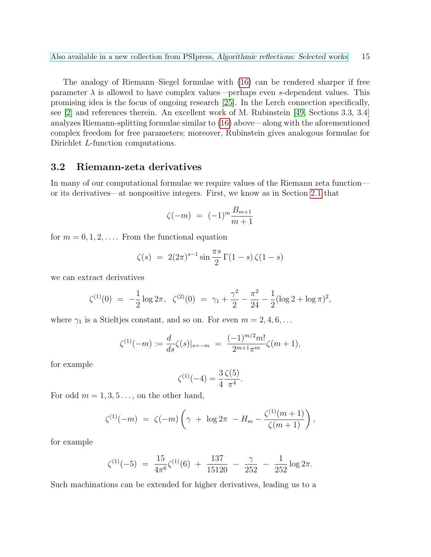The analogy of Riemann–Siegel formulae with [\(16\)](#page-13-2) can be rendered sharper if free parameter  $\lambda$  is allowed to have complex values—perhaps even s-dependent values. This promising idea is the focus of ongoing research [\[25\]](#page-49-4). In the Lerch connection specifically, see [\[2\]](#page-48-2) and references therein. An excellent work of M. Rubinstein [\[49,](#page-51-5) Sections 3.3, 3.4] analyzes Riemann-splitting formulae similar to [\(16\)](#page-13-2) above—along with the aforementioned complex freedom for free parameters; moreover, Rubinstein gives analogous formulae for Dirichlet *L*-function computations.

### <span id="page-14-0"></span>3.2 Riemann-zeta derivatives

In many of our computational formulae we require values of the Riemann zeta function or its derivatives—at nonpositive integers. First, we know as in Section [2.1](#page-6-0) that

$$
\zeta(-m) = (-1)^m \frac{B_{m+1}}{m+1}
$$

for  $m = 0, 1, 2, \ldots$ . From the functional equation

$$
\zeta(s) = 2(2\pi)^{s-1} \sin \frac{\pi s}{2} \Gamma(1-s) \zeta(1-s)
$$

we can extract derivatives

$$
\zeta^{(1)}(0) = -\frac{1}{2}\log 2\pi, \quad \zeta^{(2)}(0) = \gamma_1 + \frac{\gamma^2}{2} - \frac{\pi^2}{24} - \frac{1}{2}(\log 2 + \log \pi)^2,
$$

where  $\gamma_1$  is a Stieltjes constant, and so on. For even  $m = 2, 4, 6, \ldots$ 

$$
\zeta^{(1)}(-m) := \frac{d}{ds}\zeta(s)|_{s=-m} = \frac{(-1)^{m/2}m!}{2^{m+1}\pi^m}\zeta(m+1),
$$

for example

$$
\zeta^{(1)}(-4) = \frac{3}{4} \frac{\zeta(5)}{\pi^4}.
$$

For odd  $m = 1, 3, 5...$ , on the other hand,

$$
\zeta^{(1)}(-m) = \zeta(-m) \left( \gamma + \log 2\pi - H_m - \frac{\zeta^{(1)}(m+1)}{\zeta(m+1)} \right),
$$

for example

$$
\zeta^{(1)}(-5) = \frac{15}{4\pi^6} \zeta^{(1)}(6) + \frac{137}{15120} - \frac{\gamma}{252} - \frac{1}{252} \log 2\pi.
$$

Such machinations can be extended for higher derivatives, leading us to a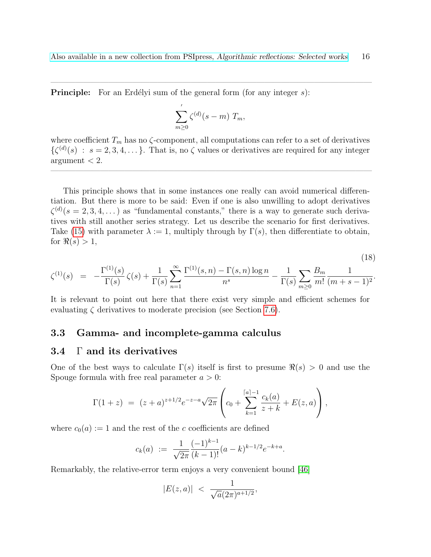$\mathcal{L}=\{1,2,3,4\}$  , we can consider the constraint of  $\mathcal{L}=\{1,2,3,4\}$ 

**Principle:** For an Erdélyi sum of the general form (for any integer  $s$ ):

$$
\sum_{m\geq 0}^{'}\zeta^{(d)}(s-m)\;T_m,
$$

where coefficient  $T_m$  has no  $\zeta$ -component, all computations can refer to a set of derivatives  $\{\zeta^{(d)}(s) : s = 2, 3, 4, \dots\}$ . That is, no  $\zeta$  values or derivatives are required for any integer  $argument < 2$ .

 $\overline{\phantom{a}}$  , and the contract of the contract of the contract of the contract of the contract of the contract of the contract of the contract of the contract of the contract of the contract of the contract of the contrac

This principle shows that in some instances one really can avoid numerical differentiation. But there is more to be said: Even if one is also unwilling to adopt derivatives  $\zeta^{(d)}(s=2,3,4,\dots)$  as "fundamental constants," there is a way to generate such derivatives with still another series strategy. Let us describe the scenario for first derivatives. Take [\(15\)](#page-13-3) with parameter  $\lambda := 1$ , multiply through by Γ(s), then differentiate to obtain, for  $\Re(s) > 1$ ,

$$
\zeta^{(1)}(s) = -\frac{\Gamma^{(1)}(s)}{\Gamma(s)}\zeta(s) + \frac{1}{\Gamma(s)}\sum_{n=1}^{\infty}\frac{\Gamma^{(1)}(s,n) - \Gamma(s,n)\log n}{n^s} - \frac{1}{\Gamma(s)}\sum_{m\geq 0}\frac{B_m}{m!}\frac{1}{(m+s-1)^2}.
$$

 $(10)$ 

It is relevant to point out here that there exist very simple and efficient schemes for evaluating  $\zeta$  derivatives to moderate precision (see Section [7.6\)](#page-28-0).

#### <span id="page-15-0"></span>3.3 Gamma- and incomplete-gamma calculus

### <span id="page-15-1"></span>3.4 Γ and its derivatives

One of the best ways to calculate  $\Gamma(s)$  itself is first to presume  $\Re(s) > 0$  and use the Spouge formula with free real parameter  $a > 0$ :

$$
\Gamma(1+z) = (z+a)^{z+1/2} e^{-z-a} \sqrt{2\pi} \left( c_0 + \sum_{k=1}^{\lceil a \rceil - 1} \frac{c_k(a)}{z+k} + E(z, a) \right),
$$

where  $c_0(a) := 1$  and the rest of the c coefficients are defined

$$
c_k(a) := \frac{1}{\sqrt{2\pi}} \frac{(-1)^{k-1}}{(k-1)!} (a-k)^{k-1/2} e^{-k+a}.
$$

Remarkably, the relative-error term enjoys a very convenient bound [\[46\]](#page-51-6)

$$
|E(z,a)| \; < \; \frac{1}{\sqrt{a}(2\pi)^{a+1/2}},
$$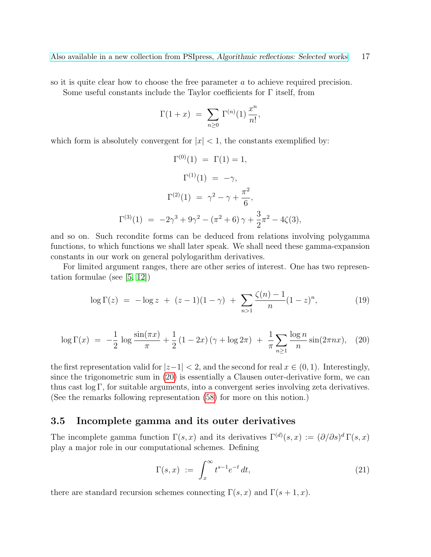so it is quite clear how to choose the free parameter a to achieve required precision. Some useful constants include the Taylor coefficients for Γ itself, from

$$
\Gamma(1+x) = \sum_{n\geq 0} \Gamma^{(n)}(1) \frac{x^n}{n!},
$$

which form is absolutely convergent for  $|x| < 1$ , the constants exemplified by:

$$
\Gamma^{(0)}(1) = \Gamma(1) = 1,
$$
  
\n
$$
\Gamma^{(1)}(1) = -\gamma,
$$
  
\n
$$
\Gamma^{(2)}(1) = \gamma^2 - \gamma + \frac{\pi^2}{6},
$$
  
\n
$$
\Gamma^{(3)}(1) = -2\gamma^3 + 9\gamma^2 - (\pi^2 + 6)\gamma + \frac{3}{2}\pi^2 - 4\zeta(3),
$$

and so on. Such recondite forms can be deduced from relations involving polygamma functions, to which functions we shall later speak. We shall need these gamma-expansion constants in our work on general polylogarithm derivatives.

For limited argument ranges, there are other series of interest. One has two representation formulae (see [\[5,](#page-48-3) [12\]](#page-48-0))

<span id="page-16-3"></span>
$$
\log \Gamma(z) = -\log z + (z - 1)(1 - \gamma) + \sum_{n>1} \frac{\zeta(n) - 1}{n} (1 - z)^n, \tag{19}
$$

<span id="page-16-1"></span>
$$
\log \Gamma(x) = -\frac{1}{2} \log \frac{\sin(\pi x)}{\pi} + \frac{1}{2} (1 - 2x) (\gamma + \log 2\pi) + \frac{1}{\pi} \sum_{n \ge 1} \frac{\log n}{n} \sin(2\pi nx), \tag{20}
$$

the first representation valid for  $|z-1| < 2$ , and the second for real  $x \in (0,1)$ . Interestingly, since the trigonometric sum in [\(20\)](#page-16-1) is essentially a Clausen outer-derivative form, we can thus cast log Γ, for suitable arguments, into a convergent series involving zeta derivatives. (See the remarks following representation [\(58\)](#page-39-1) for more on this notion.)

### <span id="page-16-0"></span>3.5 Incomplete gamma and its outer derivatives

The incomplete gamma function  $\Gamma(s, x)$  and its derivatives  $\Gamma^{(d)}(s, x) := (\partial/\partial s)^d \Gamma(s, x)$ play a major role in our computational schemes. Defining

<span id="page-16-2"></span>
$$
\Gamma(s,x) := \int_x^{\infty} t^{s-1} e^{-t} dt,
$$
\n(21)

there are standard recursion schemes connecting  $\Gamma(s, x)$  and  $\Gamma(s + 1, x)$ .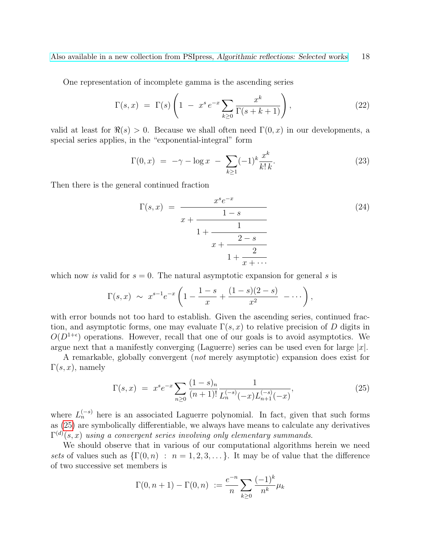One representation of incomplete gamma is the ascending series

$$
\Gamma(s,x) = \Gamma(s) \left( 1 - x^s e^{-x} \sum_{k \ge 0} \frac{x^k}{\Gamma(s+k+1)} \right),\tag{22}
$$

valid at least for  $\Re(s) > 0$ . Because we shall often need  $\Gamma(0, x)$  in our developments, a special series applies, in the "exponential-integral" form

<span id="page-17-1"></span>
$$
\Gamma(0, x) = -\gamma - \log x - \sum_{k \ge 1} (-1)^k \frac{x^k}{k! \, k}.
$$
 (23)

Then there is the general continued fraction

$$
\Gamma(s,x) = \frac{x^s e^{-x}}{1-s}
$$
\n
$$
1 + \frac{1}{1 + \frac{2-s}{1 + \frac{2-s}{1 + \frac{2}{x + \dots}}}} \tag{24}
$$

which now is valid for  $s = 0$ . The natural asymptotic expansion for general s is

$$
\Gamma(s,x) \sim x^{s-1} e^{-x} \left( 1 - \frac{1-s}{x} + \frac{(1-s)(2-s)}{x^2} - \cdots \right),
$$

with error bounds not too hard to establish. Given the ascending series, continued fraction, and asymptotic forms, one may evaluate  $\Gamma(s, x)$  to relative precision of D digits in  $O(D^{1+\epsilon})$  operations. However, recall that one of our goals is to avoid asymptotics. We argue next that a manifestly converging (Laguerre) series can be used even for large  $|x|$ .

A remarkable, globally convergent (not merely asymptotic) expansion does exist for  $\Gamma(s, x)$ , namely

<span id="page-17-0"></span>
$$
\Gamma(s,x) = x^s e^{-x} \sum_{n\geq 0} \frac{(1-s)_n}{(n+1)!} \frac{1}{L_n^{(-s)}(-x) L_{n+1}^{(-s)}(-x)},\tag{25}
$$

where  $L_n^{(-s)}$  here is an associated Laguerre polynomial. In fact, given that such forms as [\(25\)](#page-17-0) are symbolically differentiable, we always have means to calculate any derivatives  $\Gamma^{(d)}(s,x)$  using a convergent series involving only elementary summands.

We should observe that in various of our computational algorithms herein we need sets of values such as  $\{\Gamma(0, n) : n = 1, 2, 3, \ldots\}$ . It may be of value that the difference of two successive set members is

$$
\Gamma(0, n+1) - \Gamma(0, n) := \frac{e^{-n}}{n} \sum_{k \ge 0} \frac{(-1)^k}{n^k} \mu_k
$$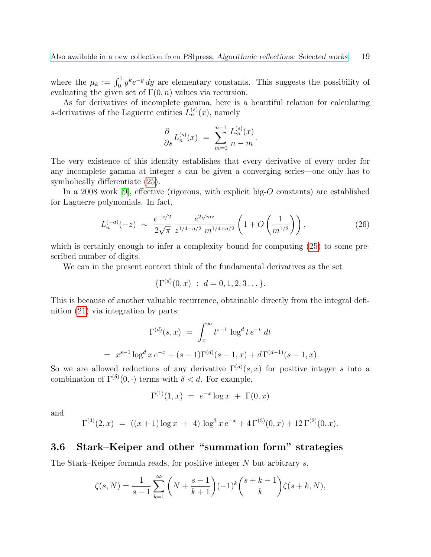where the  $\mu_k := \int_0^1 y^k e^{-y} dy$  are elementary constants. This suggests the possibility of evaluating the given set of  $\Gamma(0, n)$  values via recursion.

As for derivatives of incomplete gamma, here is a beautiful relation for calculating s-derivatives of the Laguerre entities  $L_n^{(s)}(x)$ , namely

$$
\frac{\partial}{\partial s}L_n^{(s)}(x) = \sum_{m=0}^{n-1} \frac{L_m^{(s)}(x)}{n-m}.
$$

The very existence of this identity establishes that every derivative of every order for any incomplete gamma at integer s can be given a converging series—one only has to symbolically differentiate [\(25\)](#page-17-0).

In a 2008 work [\[9\]](#page-48-4), effective (rigorous, with explicit big- $O$  constants) are established for Laguerre polynomials. In fact,

$$
L_n^{(-a)}(-z) \sim \frac{e^{-z/2}}{2\sqrt{\pi}} \frac{e^{2\sqrt{mz}}}{z^{1/4 - a/2} m^{1/4 + a/2}} \left(1 + O\left(\frac{1}{m^{1/2}}\right)\right),\tag{26}
$$

which is certainly enough to infer a complexity bound for computing [\(25\)](#page-17-0) to some prescribed number of digits.

We can in the present context think of the fundamental derivatives as the set

$$
\{\Gamma^{(d)}(0,x) \; : \; d=0,1,2,3\dots\}.
$$

This is because of another valuable recurrence, obtainable directly from the integral definition [\(21\)](#page-16-2) via integration by parts:

$$
\Gamma^{(d)}(s,x) = \int_x^{\infty} t^{s-1} \log^d t e^{-t} dt
$$
  
=  $x^{s-1} \log^d x e^{-x} + (s-1) \Gamma^{(d)}(s-1,x) + d \Gamma^{(d-1)}(s-1,x).$ 

So we are allowed reductions of any derivative  $\Gamma^{(d)}(s,x)$  for positive integer s into a combination of  $\Gamma^{(\delta)}(0, \cdot)$  terms with  $\delta < d$ . For example,

$$
\Gamma^{(1)}(1,x) \,\,=\,\, e^{-x} \log x \,\,+\,\, \Gamma(0,x)
$$

and

$$
\Gamma^{(4)}(2,x) = ((x+1)\log x + 4) \log^3 x e^{-x} + 4\Gamma^{(3)}(0,x) + 12\Gamma^{(2)}(0,x).
$$

# <span id="page-18-0"></span>3.6 Stark–Keiper and other "summation form" strategies

The Stark–Keiper formula reads, for positive integer  $N$  but arbitrary  $s$ ,

$$
\zeta(s,N) = \frac{1}{s-1} \sum_{k=1}^{\infty} \left( N + \frac{s-1}{k+1} \right) (-1)^k {s+k-1 \choose k} \zeta(s+k,N),
$$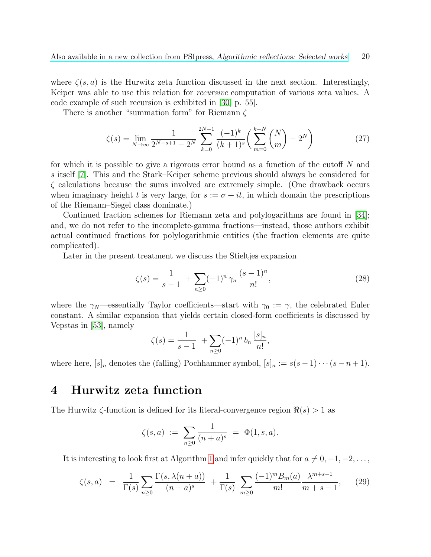where  $\zeta(s, a)$  is the Hurwitz zeta function discussed in the next section. Interestingly, Keiper was able to use this relation for recursive computation of various zeta values. A code example of such recursion is exhibited in [\[30,](#page-50-2) p. 55].

There is another "summation form" for Riemann ζ

$$
\zeta(s) = \lim_{N \to \infty} \frac{1}{2^{N-s+1} - 2^N} \sum_{k=0}^{2N-1} \frac{(-1)^k}{(k+1)^s} \left( \sum_{m=0}^{k-N} {N \choose m} - 2^N \right)
$$
(27)

for which it is possible to give a rigorous error bound as a function of the cutoff N and s itself [\[7\]](#page-48-5). This and the Stark–Keiper scheme previous should always be considered for  $\zeta$  calculations because the sums involved are extremely simple. (One drawback occurs when imaginary height t is very large, for  $s := \sigma + it$ , in which domain the prescriptions of the Riemann–Siegel class dominate.)

Continued fraction schemes for Riemann zeta and polylogarithms are found in [\[34\]](#page-50-3); and, we do not refer to the incomplete-gamma fractions—instead, those authors exhibit actual continued fractions for polylogarithmic entities (the fraction elements are quite complicated).

Later in the present treatment we discuss the Stieltjes expansion

<span id="page-19-2"></span>
$$
\zeta(s) = \frac{1}{s-1} + \sum_{n\geq 0} (-1)^n \gamma_n \frac{(s-1)^n}{n!},\tag{28}
$$

where the  $\gamma_N$ —essentially Taylor coefficients—start with  $\gamma_0 := \gamma$ , the celebrated Euler constant. A similar expansion that yields certain closed-form coefficients is discussed by Vepstas in [\[53\]](#page-51-7), namely

$$
\zeta(s) = \frac{1}{s-1} + \sum_{n\geq 0} (-1)^n b_n \frac{[s]_n}{n!},
$$

where here,  $[s]_n$  denotes the (falling) Pochhammer symbol,  $[s]_n := s(s-1)\cdots(s-n+1)$ .

# <span id="page-19-0"></span>4 Hurwitz zeta function

The Hurwitz  $\zeta$ -function is defined for its literal-convergence region  $\Re(s) > 1$  as

$$
\zeta(s,a) \ := \ \sum_{n\geq 0} \frac{1}{(n+a)^s} \ = \ \overline{\Phi}(1,s,a).
$$

It is interesting to look first at Algorithm [1](#page-8-0) and infer quickly that for  $a \neq 0, -1, -2, \ldots$ ,

<span id="page-19-1"></span>
$$
\zeta(s,a) = \frac{1}{\Gamma(s)} \sum_{n\geq 0} \frac{\Gamma(s, \lambda(n+a))}{(n+a)^s} + \frac{1}{\Gamma(s)} \sum_{m\geq 0} \frac{(-1)^m B_m(a)}{m!} \frac{\lambda^{m+s-1}}{m+s-1}, \qquad (29)
$$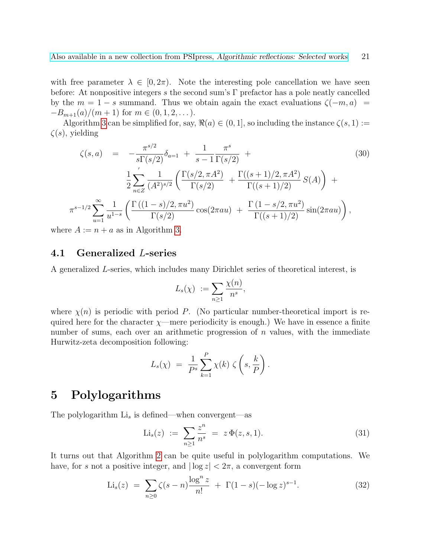with free parameter  $\lambda \in [0, 2\pi)$ . Note the interesting pole cancellation we have seen before: At nonpositive integers s the second sum's  $\Gamma$  prefactor has a pole neatly cancelled by the  $m = 1 - s$  summand. Thus we obtain again the exact evaluations  $\zeta(-m, a)$  $-B_{m+1}(a)/(m+1)$  for  $m \in (0, 1, 2, ...)$ .

Algorithm [3](#page-12-0) can be simplified for, say,  $\Re(a) \in (0, 1]$ , so including the instance  $\zeta(s, 1) :=$  $\zeta(s)$ , yielding

$$
\zeta(s,a) = -\frac{\pi^{s/2}}{s\Gamma(s/2)}\delta_{a=1} + \frac{1}{s-1}\frac{\pi^s}{\Gamma(s/2)} +
$$
\n
$$
\frac{1}{2}\sum_{n\in\mathbb{Z}}' \frac{1}{(A^2)^{s/2}} \left(\frac{\Gamma(s/2, \pi A^2)}{\Gamma(s/2)} + \frac{\Gamma((s+1)/2, \pi A^2)}{\Gamma((s+1)/2)} S(A)\right) +
$$
\n
$$
s^{-1/2}\sum_{u=1}^{\infty} \frac{1}{u^{1-s}} \left(\frac{\Gamma((1-s)/2, \pi u^2)}{\Gamma(s/2)} \cos(2\pi au) + \frac{\Gamma(1-s/2, \pi u^2)}{\Gamma((s+1)/2)} \sin(2\pi au)\right),
$$
\n(30)

where  $A := n + a$  as in Algorithm [3.](#page-12-0)

 $\pi$ <sup>'</sup>

### <span id="page-20-0"></span>4.1 Generalized L-series

A generalized L-series, which includes many Dirichlet series of theoretical interest, is

$$
L_s(\chi) := \sum_{n \geq 1} \frac{\chi(n)}{n^s},
$$

where  $\chi(n)$  is periodic with period P. (No particular number-theoretical import is required here for the character  $\chi$ —mere periodicity is enough.) We have in essence a finite number of sums, each over an arithmetic progression of  $n$  values, with the immediate Hurwitz-zeta decomposition following:

$$
L_s(\chi) = \frac{1}{P^s} \sum_{k=1}^P \chi(k) \zeta\left(s, \frac{k}{P}\right).
$$

# <span id="page-20-1"></span>5 Polylogarithms

The polylogarithm  $Li_s$  is defined—when convergent—as

<span id="page-20-2"></span>
$$
\text{Li}_s(z) := \sum_{n \ge 1} \frac{z^n}{n^s} = z \Phi(z, s, 1). \tag{31}
$$

It turns out that Algorithm [2](#page-10-2) can be quite useful in polylogarithm computations. We have, for s not a positive integer, and  $|\log z| < 2\pi$ , a convergent form

<span id="page-20-3"></span>
$$
\text{Li}_s(z) = \sum_{n \ge 0} \zeta(s-n) \frac{\log^n z}{n!} + \Gamma(1-s)(-\log z)^{s-1}.
$$
 (32)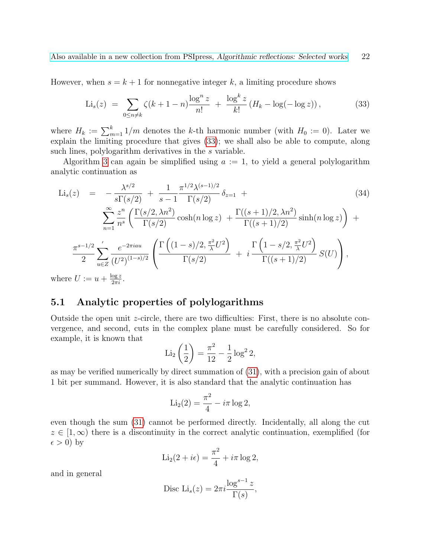However, when  $s = k + 1$  for nonnegative integer k, a limiting procedure shows

<span id="page-21-1"></span>
$$
\text{Li}_s(z) \ = \ \sum_{0 \le n \neq k} \zeta(k+1-n) \frac{\log^n z}{n!} \ + \ \frac{\log^k z}{k!} \left( H_k - \log(-\log z) \right), \tag{33}
$$

where  $H_k := \sum_{m=1}^k 1/m$  denotes the k-th harmonic number (with  $H_0 := 0$ ). Later we explain the limiting procedure that gives [\(33\)](#page-21-1); we shall also be able to compute, along such lines, polylogarithm derivatives in the s variable.

Algorithm [3](#page-12-0) can again be simplified using  $a := 1$ , to yield a general polylogarithm analytic continuation as

$$
\text{Li}_s(z) = -\frac{\lambda^{s/2}}{s\Gamma(s/2)} + \frac{1}{s-1} \frac{\pi^{1/2}\lambda^{(s-1)/2}}{\Gamma(s/2)} \delta_{z=1} +
$$
\n
$$
\sum_{n=1}^{\infty} \frac{z^n}{n^s} \left( \frac{\Gamma(s/2, \lambda n^2)}{\Gamma(s/2)} \cosh(n \log z) + \frac{\Gamma((s+1)/2, \lambda n^2)}{\Gamma((s+1)/2)} \sinh(n \log z) \right) +
$$
\n
$$
\frac{\pi^{s-1/2}}{2} \sum_{u \in Z}^{\prime} \frac{e^{-2\pi i au}}{(U^2)^{(1-s)/2}} \left( \frac{\Gamma\left((1-s)/2, \frac{\pi^2}{\lambda}U^2\right)}{\Gamma(s/2)} + i \frac{\Gamma\left(1-s/2, \frac{\pi^2}{\lambda}U^2\right)}{\Gamma((s+1)/2)} S(U) \right),
$$
\nhere  $U := u + \frac{\log z}{z}$  (1.1)

where  $U := u + \frac{\log z}{2\pi i}$ .

# <span id="page-21-0"></span>5.1 Analytic properties of polylogarithms

Outside the open unit z-circle, there are two difficulties: First, there is no absolute convergence, and second, cuts in the complex plane must be carefully considered. So for example, it is known that

$$
\text{Li}_2\left(\frac{1}{2}\right) = \frac{\pi^2}{12} - \frac{1}{2}\log^2 2,
$$

as may be verified numerically by direct summation of [\(31\)](#page-20-2), with a precision gain of about 1 bit per summand. However, it is also standard that the analytic continuation has

$$
\mathrm{Li}_2(2) = \frac{\pi^2}{4} - i\pi \log 2,
$$

even though the sum [\(31\)](#page-20-2) cannot be performed directly. Incidentally, all along the cut  $z \in [1,\infty)$  there is a discontinuity in the correct analytic continuation, exemplified (for  $\epsilon > 0$ ) by

$$
\text{Li}_2(2+i\epsilon) = \frac{\pi^2}{4} + i\pi \log 2,
$$

and in general

$$
\text{Disc Li}_s(z) = 2\pi i \frac{\log^{s-1} z}{\Gamma(s)},
$$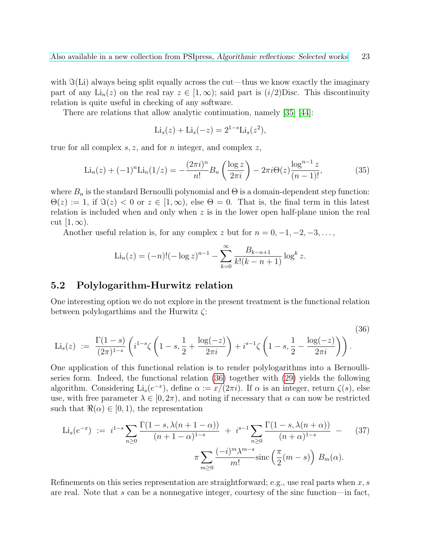with  $\Im(Li)$  always being split equally across the cut—thus we know exactly the imaginary part of any Li<sub>n</sub>(z) on the real ray  $z \in [1,\infty)$ ; said part is  $(i/2)$ Disc. This discontinuity relation is quite useful in checking of any software.

There are relations that allow analytic continuation, namely [\[35\]](#page-50-4) [\[44\]](#page-51-8):

$$
Li_s(z) + Li_s(-z) = 2^{1-s}Li_s(z^2),
$$

true for all complex  $s, z$ , and for n integer, and complex z,

$$
\text{Li}_n(z) + (-1)^n \text{Li}_n(1/z) = -\frac{(2\pi i)^n}{n!} B_n\left(\frac{\log z}{2\pi i}\right) - 2\pi i \Theta(z) \frac{\log^{n-1} z}{(n-1)!},\tag{35}
$$

where  $B_n$  is the standard Bernoulli polynomial and  $\Theta$  is a domain-dependent step function:  $\Theta(z) := 1$ , if  $\Im(z) < 0$  or  $z \in [1, \infty)$ , else  $\Theta = 0$ . That is, the final term in this latest relation is included when and only when  $z$  is in the lower open half-plane union the real cut  $[1,\infty)$ .

Another useful relation is, for any complex z but for  $n = 0, -1, -2, -3, \ldots$ ,

<span id="page-22-1"></span>
$$
\text{Li}_n(z) = (-n)!(-\log z)^{n-1} - \sum_{k=0}^{\infty} \frac{B_{k-n+1}}{k!(k-n+1)} \log^k z.
$$

#### <span id="page-22-0"></span>5.2 Polylogarithm-Hurwitz relation

One interesting option we do not explore in the present treatment is the functional relation between polylogarthims and the Hurwitz  $\zeta$ :

$$
\text{Li}_s(z) := \frac{\Gamma(1-s)}{(2\pi)^{1-s}} \left( i^{1-s} \zeta \left( 1-s, \frac{1}{2} + \frac{\log(-z)}{2\pi i} \right) + i^{s-1} \zeta \left( 1-s, \frac{1}{2} - \frac{\log(-z)}{2\pi i} \right) \right). \tag{36}
$$

One application of this functional relation is to render polylogarithms into a Bernoulliseries form. Indeed, the functional relation [\(36\)](#page-22-1) together with [\(29\)](#page-19-1) yields the following algorithm. Considering  $\text{Li}_s(e^{-x})$ , define  $\alpha := x/(2\pi i)$ . If  $\alpha$  is an integer, return  $\zeta(s)$ , else use, with free parameter  $\lambda \in [0, 2\pi)$ , and noting if necessary that  $\alpha$  can now be restricted such that  $\Re(\alpha) \in (0, 1)$ , the representation

<span id="page-22-2"></span>
$$
\text{Li}_s(e^{-x}) := i^{1-s} \sum_{n \ge 0} \frac{\Gamma(1-s, \lambda(n+1-\alpha))}{(n+1-\alpha)^{1-s}} + i^{s-1} \sum_{n \ge 0} \frac{\Gamma(1-s, \lambda(n+\alpha))}{(n+\alpha)^{1-s}} - (37)
$$

$$
\pi \sum_{m \ge 0} \frac{(-i)^m \lambda^{m-s}}{m!} \text{sinc}\left(\frac{\pi}{2}(m-s)\right) B_m(\alpha).
$$

Refinements on this series representation are straightforward; e.g., use real parts when  $x, s$ are real. Note that  $s$  can be a nonnegative integer, courtesy of the sinc function—in fact,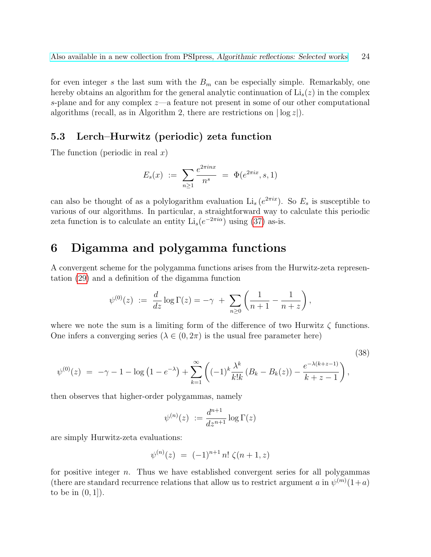for even integer s the last sum with the  $B<sub>m</sub>$  can be especially simple. Remarkably, one hereby obtains an algorithm for the general analytic continuation of  $Li_s(z)$  in the complex s-plane and for any complex  $z$ —a feature not present in some of our other computational algorithms (recall, as in Algorithm 2, there are restrictions on  $|\log z|$ ).

# <span id="page-23-0"></span>5.3 Lerch–Hurwitz (periodic) zeta function

The function (periodic in real  $x$ )

$$
E_s(x) := \sum_{n\geq 1} \frac{e^{2\pi i n x}}{n^s} = \Phi(e^{2\pi i x}, s, 1)
$$

can also be thought of as a polylogarithm evaluation  $Li_s(e^{2\pi ix})$ . So  $E_s$  is susceptible to various of our algorithms. In particular, a straightforward way to calculate this periodic zeta function is to calculate an entity  $Li_s(e^{-2\pi i\alpha})$  using [\(37\)](#page-22-2) as-is.

# <span id="page-23-1"></span>6 Digamma and polygamma functions

A convergent scheme for the polygamma functions arises from the Hurwitz-zeta representation [\(29\)](#page-19-1) and a definition of the digamma function

$$
\psi^{(0)}(z) \; := \; \frac{d}{dz} \log \Gamma(z) = -\gamma \; + \; \sum_{n \geq 0} \left( \frac{1}{n+1} - \frac{1}{n+z} \right),
$$

where we note the sum is a limiting form of the difference of two Hurwitz  $\zeta$  functions. One infers a converging series ( $\lambda \in (0, 2\pi)$  is the usual free parameter here)

$$
\psi^{(0)}(z) = -\gamma - 1 - \log(1 - e^{-\lambda}) + \sum_{k=1}^{\infty} \left( (-1)^k \frac{\lambda^k}{k!k} (B_k - B_k(z)) - \frac{e^{-\lambda(k+z-1)}}{k+z-1} \right),\tag{38}
$$

then observes that higher-order polygammas, namely

$$
\psi^{(n)}(z) \ := \frac{d^{n+1}}{dz^{n+1}} \log \Gamma(z)
$$

are simply Hurwitz-zeta evaluations:

$$
\psi^{(n)}(z) = (-1)^{n+1} n! \zeta(n+1, z)
$$

for positive integer  $n$ . Thus we have established convergent series for all polygammas (there are standard recurrence relations that allow us to restrict argument a in  $\psi^{(m)}(1+a)$ to be in  $(0, 1]$ .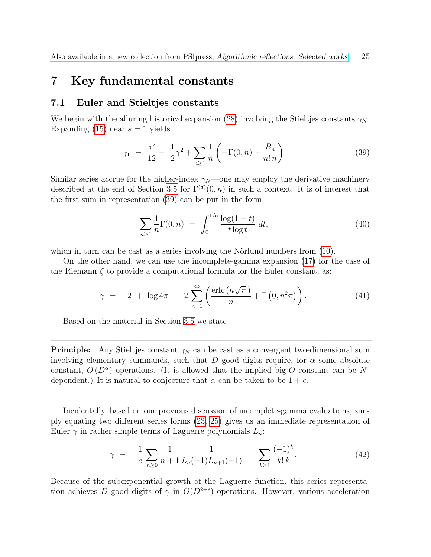# <span id="page-24-0"></span>7 Key fundamental constants

### <span id="page-24-1"></span>7.1 Euler and Stieltjes constants

We begin with the alluring historical expansion [\(28\)](#page-19-2) involving the Stieltjes constants  $\gamma_N$ . Expanding [\(15\)](#page-13-3) near  $s = 1$  yields

<span id="page-24-2"></span>
$$
\gamma_1 = \frac{\pi^2}{12} - \frac{1}{2}\gamma^2 + \sum_{n \ge 1} \frac{1}{n} \left( -\Gamma(0, n) + \frac{B_n}{n! n} \right) \tag{39}
$$

Similar series accrue for the higher-index  $\gamma_N$ —one may employ the derivative machinery described at the end of Section [3.5](#page-16-0) for  $\Gamma^{(d)}(0,n)$  in such a context. It is of interest that the first sum in representation [\(39\)](#page-24-2) can be put in the form

$$
\sum_{n\geq 1} \frac{1}{n} \Gamma(0, n) = \int_0^{1/e} \frac{\log(1 - t)}{t \log t} dt,
$$
\n(40)

which in turn can be cast as a series involving the Nörlund numbers from  $(10)$ .

On the other hand, we can use the incomplete-gamma expansion [\(17\)](#page-13-4) for the case of the Riemann  $\zeta$  to provide a computational formula for the Euler constant, as:

<span id="page-24-4"></span>
$$
\gamma = -2 + \log 4\pi + 2 \sum_{n=1}^{\infty} \left( \frac{\operatorname{erfc}\left(n\sqrt{\pi}\right)}{n} + \Gamma\left(0, n^2\pi\right) \right). \tag{41}
$$

Based on the material in Section [3.5](#page-16-0) we state

**Principle:** Any Stieltjes constant  $\gamma_N$  can be cast as a convergent two-dimensional sum involving elementary summands, such that  $D$  good digits require, for  $\alpha$  some absolute constant,  $O(D^{\alpha})$  operations. (It is allowed that the implied big-O constant can be Ndependent.) It is natural to conjecture that  $\alpha$  can be taken to be  $1 + \epsilon$ .

 $\overline{\phantom{a}}$  , and the contract of  $\overline{\phantom{a}}$  , and  $\overline{\phantom{a}}$  , and  $\overline{\phantom{a}}$  , and  $\overline{\phantom{a}}$  , and  $\overline{\phantom{a}}$  , and  $\overline{\phantom{a}}$  , and  $\overline{\phantom{a}}$  , and  $\overline{\phantom{a}}$  , and  $\overline{\phantom{a}}$  , and  $\overline{\phantom{a}}$  , and  $\overline{\phantom$ 

 $\overline{\phantom{a}}$  , and the contribution of the contribution of  $\overline{\phantom{a}}$ 

Incidentally, based on our previous discussion of incomplete-gamma evaluations, simply equating two different series forms [\(23,](#page-17-1) [25\)](#page-17-0) gives us an immediate representation of Euler  $\gamma$  in rather simple terms of Laguerre polynomials  $L_n$ :

<span id="page-24-3"></span>
$$
\gamma = -\frac{1}{e} \sum_{n\geq 0} \frac{1}{n+1} \frac{1}{L_n(-1)L_{n+1}(-1)} - \sum_{k\geq 1} \frac{(-1)^k}{k!\,k}.
$$
 (42)

Because of the subexponential growth of the Laguerre function, this series representation achieves D good digits of  $\gamma$  in  $O(D^{2+\epsilon})$  operations. However, various acceleration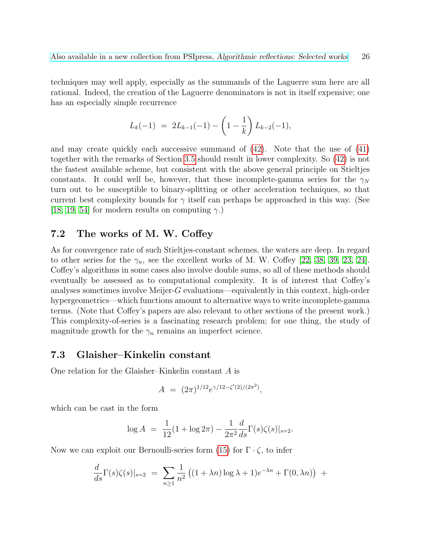techniques may well apply, especially as the summands of the Laguerre sum here are all rational. Indeed, the creation of the Laguerre denominators is not in itself expensive; one has an especially simple recurrence

$$
L_k(-1) = 2L_{k-1}(-1) - \left(1 - \frac{1}{k}\right)L_{k-2}(-1),
$$

and may create quickly each successive summand of [\(42\)](#page-24-3). Note that the use of [\(41\)](#page-24-4) together with the remarks of Section [3.5](#page-16-0) should result in lower complexity. So [\(42\)](#page-24-3) is not the fastest available scheme, but consistent with the above general principle on Stieltjes constants. It could well be, however, that these incomplete-gamma series for the  $\gamma_N$ turn out to be susceptible to binary-splitting or other acceleration techniques, so that current best complexity bounds for  $\gamma$  itself can perhaps be approached in this way. (See [\[18,](#page-49-5) [19,](#page-49-6) [54\]](#page-51-9) for modern results on computing  $\gamma$ .)

### <span id="page-25-0"></span>7.2 The works of M. W. Coffey

As for convergence rate of such Stieltjes-constant schemes, the waters are deep. In regard to other series for the  $\gamma_n$ , see the excellent works of M. W. Coffey [\[22,](#page-49-7) [38,](#page-50-5) [39,](#page-50-6) [23,](#page-49-8) [24\]](#page-49-3). Coffey's algorithms in some cases also involve double sums, so all of these methods should eventually be assessed as to computational complexity. It is of interest that Coffey's analyses sometimes involve Meijer-G evaluations—equivalently in this context, high-order hypergeometrics—which functions amount to alternative ways to write incomplete-gamma terms. (Note that Coffey's papers are also relevant to other sections of the present work.) This complexity-of-series is a fascinating research problem; for one thing, the study of magnitude growth for the  $\gamma_n$  remains an imperfect science.

#### <span id="page-25-1"></span>7.3 Glaisher–Kinkelin constant

One relation for the Glaisher–Kinkelin constant A is

$$
A = (2\pi)^{1/12} e^{\gamma/12 - \zeta'(2)/(2\pi^2)},
$$

which can be cast in the form

$$
\log A = \frac{1}{12} (1 + \log 2\pi) - \frac{1}{2\pi^2} \frac{d}{ds} \Gamma(s) \zeta(s)|_{s=2}.
$$

Now we can exploit our Bernoulli-series form [\(15\)](#page-13-3) for  $\Gamma \cdot \zeta$ , to infer

$$
\frac{d}{ds}\Gamma(s)\zeta(s)|_{s=2} = \sum_{n\geq 1} \frac{1}{n^2} \left( (1+\lambda n) \log \lambda + 1 \right) e^{-\lambda n} + \Gamma(0,\lambda n) \Big) +
$$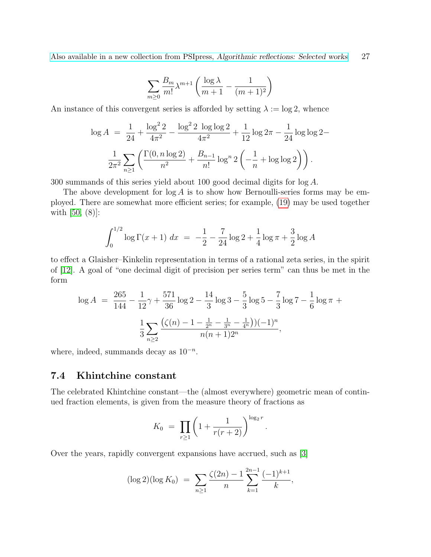$$
\sum_{m\geq 0} \frac{B_m}{m!} \lambda^{m+1} \left( \frac{\log \lambda}{m+1} - \frac{1}{(m+1)^2} \right)
$$

An instance of this convergent series is afforded by setting  $\lambda := \log 2$ , whence

$$
\log A = \frac{1}{24} + \frac{\log^2 2}{4\pi^2} - \frac{\log^2 2 \log \log 2}{4\pi^2} + \frac{1}{12} \log 2\pi - \frac{1}{24} \log \log 2 -
$$

$$
\frac{1}{2\pi^2} \sum_{n \ge 1} \left( \frac{\Gamma(0, n \log 2)}{n^2} + \frac{B_{n-1}}{n!} \log^n 2 \left( -\frac{1}{n} + \log \log 2 \right) \right).
$$

300 summands of this series yield about 100 good decimal digits for log A.

The above development for  $\log A$  is to show how Bernoulli-series forms may be employed. There are somewhat more efficient series; for example, [\(19\)](#page-16-3) may be used together with [\[50,](#page-51-10) (8)]:

$$
\int_0^{1/2} \log \Gamma(x+1) \, dx = -\frac{1}{2} - \frac{7}{24} \log 2 + \frac{1}{4} \log \pi + \frac{3}{2} \log A
$$

to effect a Glaisher–Kinkelin representation in terms of a rational zeta series, in the spirit of [\[12\]](#page-48-0). A goal of "one decimal digit of precision per series term" can thus be met in the form

$$
\log A = \frac{265}{144} - \frac{1}{12}\gamma + \frac{571}{36}\log 2 - \frac{14}{3}\log 3 - \frac{5}{3}\log 5 - \frac{7}{3}\log 7 - \frac{1}{6}\log \pi + \frac{1}{3}\sum_{n\geq 2} \frac{(\zeta(n) - 1 - \frac{1}{2^n} - \frac{1}{3^n} - \frac{1}{4^n}))(-1)^n}{n(n+1)2^n},
$$

where, indeed, summands decay as  $10^{-n}$ .

### <span id="page-26-0"></span>7.4 Khintchine constant

The celebrated Khintchine constant—the (almost everywhere) geometric mean of continued fraction elements, is given from the measure theory of fractions as

$$
K_0 = \prod_{r \ge 1} \left( 1 + \frac{1}{r(r+2)} \right)^{\log_2 r}
$$

.

Over the years, rapidly convergent expansions have accrued, such as [\[3\]](#page-48-6)

$$
(\log 2)(\log K_0) = \sum_{n\geq 1} \frac{\zeta(2n) - 1}{n} \sum_{k=1}^{2n-1} \frac{(-1)^{k+1}}{k},
$$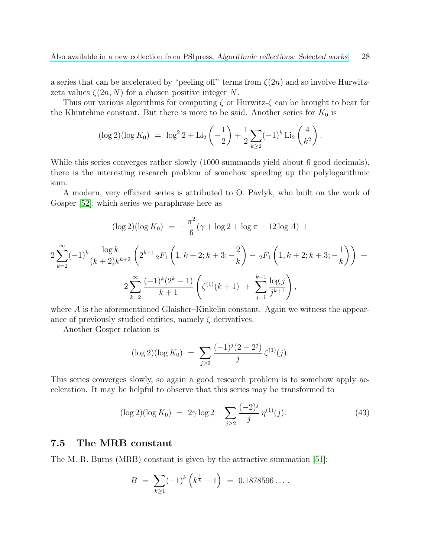a series that can be accelerated by "peeling off" terms from  $\zeta(2n)$  and so involve Hurwitzzeta values  $\zeta(2n, N)$  for a chosen positive integer N.

Thus our various algorithms for computing  $\zeta$  or Hurwitz- $\zeta$  can be brought to bear for the Khintchine constant. But there is more to be said. Another series for  $K_0$  is

$$
(\log 2)(\log K_0) = \log^2 2 + \text{Li}_2\left(-\frac{1}{2}\right) + \frac{1}{2}\sum_{k\geq 2} (-1)^k \text{Li}_2\left(\frac{4}{k^2}\right).
$$

While this series converges rather slowly (1000 summands yield about 6 good decimals), there is the interesting research problem of somehow speeding up the polylogarithmic sum.

A modern, very efficient series is attributed to O. Pavlyk, who built on the work of Gosper [\[52\]](#page-51-11), which series we paraphrase here as

$$
(\log 2)(\log K_0) = -\frac{\pi^2}{6}(\gamma + \log 2 + \log \pi - 12 \log A) + 2\sum_{k=2}^{\infty} (-1)^k \frac{\log k}{(k+2)k^{k+2}} \left(2^{k+1} {}_2F_1\left(1, k+2; k+3; -\frac{2}{k}\right) - {}_2F_1\left(1, k+2; k+3; -\frac{1}{k}\right)\right) + 2\sum_{k=2}^{\infty} \frac{(-1)^k (2^k - 1)}{k+1} \left(\zeta^{(1)}(k+1) + \sum_{j=1}^{k-1} \frac{\log j}{j^{k+1}}\right),
$$

where A is the aforementioned Glaisher–Kinkelin constant. Again we witness the appearance of previously studied entities, namely  $\zeta$  derivatives.

Another Gosper relation is

$$
(\log 2)(\log K_0) = \sum_{j\geq 2} \frac{(-1)^j (2-2^j)}{j} \zeta^{(1)}(j).
$$

This series converges slowly, so again a good research problem is to somehow apply acceleration. It may be helpful to observe that this series may be transformed to

<span id="page-27-1"></span>
$$
(\log 2)(\log K_0) = 2\gamma \log 2 - \sum_{j\geq 2} \frac{(-2)^j}{j} \eta^{(1)}(j). \tag{43}
$$

#### <span id="page-27-0"></span>7.5 The MRB constant

The M. R. Burns (MRB) constant is given by the attractive summation [\[51\]](#page-51-12):

$$
B = \sum_{k \ge 1} (-1)^k \left( k^{\frac{1}{k}} - 1 \right) = 0.1878596 \dots
$$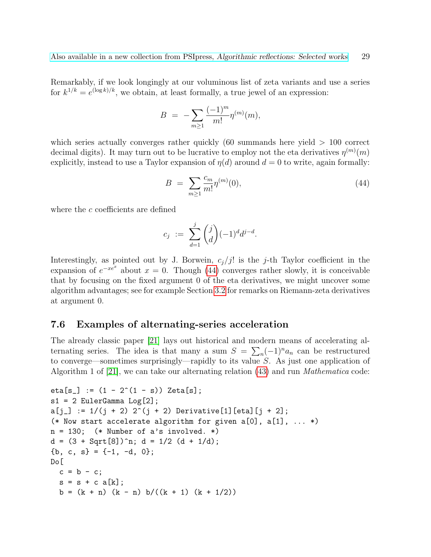Remarkably, if we look longingly at our voluminous list of zeta variants and use a series for  $k^{1/k} = e^{(\log k)/k}$ , we obtain, at least formally, a true jewel of an expression:

$$
B = -\sum_{m\geq 1} \frac{(-1)^m}{m!} \eta^{(m)}(m),
$$

which series actually converges rather quickly  $(60 \text{ summands} \text{ here} \text{ yield} > 100 \text{ correct}$ decimal digits). It may turn out to be lucrative to employ not the eta derivatives  $\eta^{(m)}(m)$ explicitly, instead to use a Taylor expansion of  $\eta(d)$  around  $d = 0$  to write, again formally:

<span id="page-28-1"></span>
$$
B = \sum_{m \ge 1} \frac{c_m}{m!} \eta^{(m)}(0),\tag{44}
$$

where the c coefficients are defined

$$
c_j := \sum_{d=1}^j \binom{j}{d} (-1)^d d^{j-d}.
$$

Interestingly, as pointed out by J. Borwein,  $c_j/j!$  is the j-th Taylor coefficient in the expansion of  $e^{-xe^x}$  about  $x = 0$ . Though [\(44\)](#page-28-1) converges rather slowly, it is conceivable that by focusing on the fixed argument 0 of the eta derivatives, we might uncover some algorithm advantages; see for example Section [3.2](#page-14-0) for remarks on Riemann-zeta derivatives at argument 0.

### <span id="page-28-0"></span>7.6 Examples of alternating-series acceleration

The already classic paper [\[21\]](#page-49-9) lays out historical and modern means of accelerating alternating series. The idea is that many a sum  $S = \sum_n (-1)^n a_n$  can be restructured to converge—sometimes surprisingly—rapidly to its value S. As just one application of Algorithm 1 of [\[21\]](#page-49-9), we can take our alternating relation  $(43)$  and run *Mathematica* code:

```
eta[s_] := (1 - 2^{(1 - s)}) Zeta[s];
s1 = 2 EulerGamma Log[2];
a[j] := 1/(j + 2) 2^{(j + 2)} Derivative[1][eta][j + 2];
(* Now start accelerate algorithm for given a[0], a[1], ... *)
n = 130; (* Number of a's involved. *)
d = (3 + Sqrt[8])^n; d = 1/2 (d + 1/d);{b, c, s} = \{-1, -d, 0\};
Do[
  c = b - c;s = s + c a[k];b = (k + n) (k - n) b/((k + 1) (k + 1/2))
```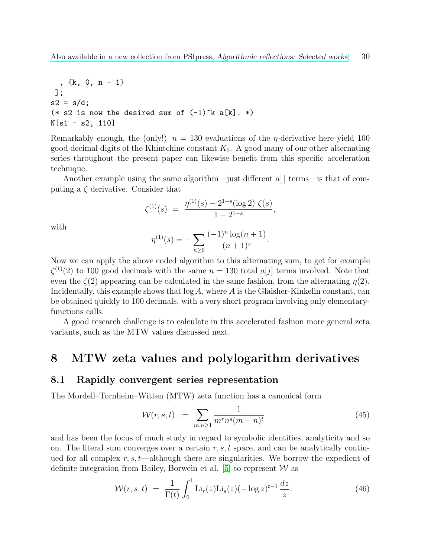, {k, 0, n - 1} ]; s2 = s/d; (\* s2 is now the desired sum of (-1)^k a[k]. \*) N[s1 - s2, 110]

Remarkably enough, the (only!)  $n = 130$  evaluations of the *η*-derivative here yield 100 good decimal digits of the Khintchine constant  $K_0$ . A good many of our other alternating series throughout the present paper can likewise benefit from this specific acceleration technique.

Another example using the same algorithm—just different  $a[$  terms—is that of computing a  $\zeta$  derivative. Consider that

$$
\zeta^{(1)}(s) = \frac{\eta^{(1)}(s) - 2^{1-s}(\log 2) \zeta(s)}{1 - 2^{1-s}},
$$

with

$$
\eta^{(1)}(s) = -\sum_{n\geq 0} \frac{(-1)^n \log(n+1)}{(n+1)^s}.
$$

Now we can apply the above coded algorithm to this alternating sum, to get for example  $\zeta^{(1)}(2)$  to 100 good decimals with the same  $n = 130$  total  $a[j]$  terms involved. Note that even the  $\zeta(2)$  appearing can be calculated in the same fashion, from the alternating  $\eta(2)$ . Incidentally, this example shows that  $log A$ , where A is the Glaisher-Kinkelin constant, can be obtained quickly to 100 decimals, with a very short program involving only elementaryfunctions calls.

A good research challenge is to calculate in this accelerated fashion more general zeta variants, such as the MTW values discussed next.

# <span id="page-29-0"></span>8 MTW zeta values and polylogarithm derivatives

#### <span id="page-29-1"></span>8.1 Rapidly convergent series representation

The Mordell–Tornheim–Witten (MTW) zeta function has a canonical form

<span id="page-29-2"></span>
$$
\mathcal{W}(r,s,t) := \sum_{m,n \ge 1} \frac{1}{m^r n^s (m+n)^t} \tag{45}
$$

and has been the focus of much study in regard to symbolic identities, analyticity and so on. The literal sum converges over a certain  $r, s, t$  space, and can be analytically continued for all complex  $r, s, t$ —although there are singularities. We borrow the expedient of definite integration from Bailey, Borwein et al. [\[5\]](#page-48-3) to represent  $W$  as

$$
\mathcal{W}(r,s,t) = \frac{1}{\Gamma(t)} \int_0^1 \text{Li}_r(z) \text{Li}_s(z) (-\log z)^{t-1} \frac{dz}{z}.
$$
 (46)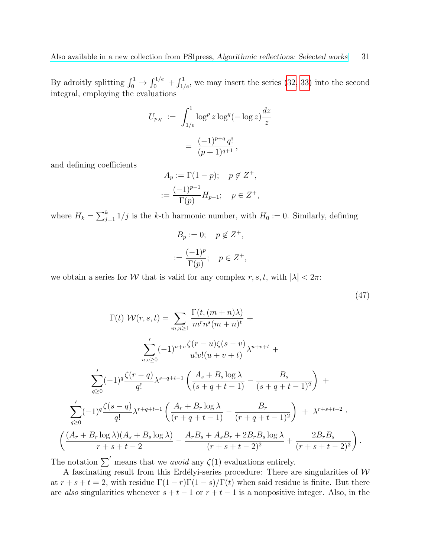By adroitly splitting  $\int_0^1 \rightarrow \int_0^{1/e} + \int_{1/e}^1$ , we may insert the series [\(32,](#page-20-3) [33\)](#page-21-1) into the second integral, employing the evaluations

$$
U_{p,q} := \int_{1/e}^{1} \log^p z \log^q (-\log z) \frac{dz}{z}
$$
  
= 
$$
\frac{(-1)^{p+q} q!}{(p+1)^{q+1}},
$$

and defining coefficients

$$
A_p := \Gamma(1 - p); \quad p \notin Z^+,
$$
  

$$
:= \frac{(-1)^{p-1}}{\Gamma(p)} H_{p-1}; \quad p \in Z^+,
$$

where  $H_k = \sum_{j=1}^k 1/j$  is the k-th harmonic number, with  $H_0 := 0$ . Similarly, defining

<span id="page-30-0"></span>
$$
B_p := 0; \quad p \notin Z^+,
$$
  

$$
:= \frac{(-1)^p}{\Gamma(p)}; \quad p \in Z^+,
$$

we obtain a series for W that is valid for any complex r, s, t, with  $|\lambda| < 2\pi$ :

$$
(47)
$$

$$
\Gamma(t) \mathcal{W}(r,s,t) = \sum_{m,n\geq 1} \frac{\Gamma(t,(m+n)\lambda)}{m^r n^s (m+n)^t} +
$$
  

$$
\sum_{u,v\geq 0} (-1)^{u+v} \frac{\zeta(r-u)\zeta(s-v)}{u!v!(u+v+t)} \lambda^{u+v+t} +
$$
  

$$
\sum_{q\geq 0} (-1)^q \frac{\zeta(r-q)}{q!} \lambda^{s+q+t-1} \left( \frac{A_s + B_s \log \lambda}{(s+q+t-1)} - \frac{B_s}{(s+q+t-1)^2} \right) +
$$
  

$$
\sum_{q\geq 0} (-1)^q \frac{\zeta(s-q)}{q!} \lambda^{r+q+t-1} \left( \frac{A_r + B_r \log \lambda}{(r+q+t-1)} - \frac{B_r}{(r+q+t-1)^2} \right) + \lambda^{r+s+t-2}.
$$
  

$$
\left( \frac{(A_r + B_r \log \lambda)(A_s + B_s \log \lambda)}{r+s+t-2} - \frac{A_r B_s + A_s B_r + 2B_r B_s \log \lambda}{(r+s+t-2)^2} + \frac{2B_r B_s}{(r+s+t-2)^3} \right).
$$

The notation  $\sum'$  means that we *avoid* any  $\zeta(1)$  evaluations entirely.

A fascinating result from this Erdélyi-series procedure: There are singularities of  $W$ at  $r + s + t = 2$ , with residue  $\Gamma(1 - r)\Gamma(1 - s)/\Gamma(t)$  when said residue is finite. But there are also singularities whenever  $s + t - 1$  or  $r + t - 1$  is a nonpositive integer. Also, in the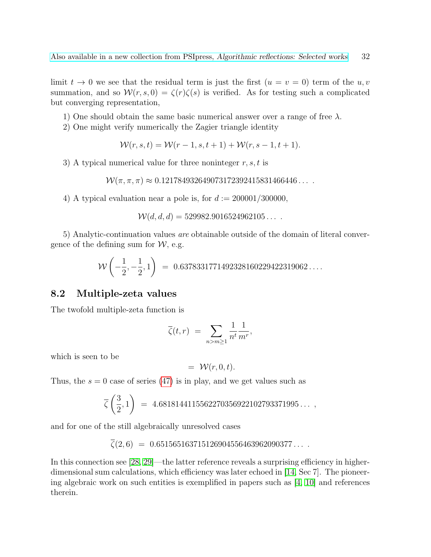limit  $t \to 0$  we see that the residual term is just the first  $(u = v = 0)$  term of the u, v summation, and so  $\mathcal{W}(r,s,0) = \zeta(r)\zeta(s)$  is verified. As for testing such a complicated but converging representation,

- 1) One should obtain the same basic numerical answer over a range of free  $\lambda$ .
- 2) One might verify numerically the Zagier triangle identity

$$
W(r, s, t) = W(r - 1, s, t + 1) + W(r, s - 1, t + 1).
$$

3) A typical numerical value for three noninteger  $r, s, t$  is

 $W(\pi, \pi, \pi) \approx 0.121784932649073172392415831466446...$ 

4) A typical evaluation near a pole is, for  $d := 200001/300000$ .

 $W(d, d, d) = 529982.9016524962105...$ 

5) Analytic-continuation values are obtainable outside of the domain of literal convergence of the defining sum for  $W$ , e.g.

$$
W\left(-\frac{1}{2}, -\frac{1}{2}, 1\right) = 0.6378331771492328160229422319062\dots
$$

### <span id="page-31-0"></span>8.2 Multiple-zeta values

The twofold multiple-zeta function is

$$
\overline{\zeta}(t,r) = \sum_{n>m\geq 1} \frac{1}{n^t} \frac{1}{m^r},
$$

which is seen to be

$$
= \mathcal{W}(r,0,t).
$$

Thus, the  $s = 0$  case of series [\(47\)](#page-30-0) is in play, and we get values such as

$$
\overline{\zeta}\left(\frac{3}{2},1\right) = 4.6818144115562270356922102793371995\ldots,
$$

and for one of the still algebraically unresolved cases

$$
\overline{\zeta}(2,6) = 0.651565163715126904556463962090377\dots
$$

In this connection see [\[28,](#page-50-7) [29\]](#page-50-8)—the latter reference reveals a surprising efficiency in higherdimensional sum calculations, which efficiency was later echoed in [\[14,](#page-48-7) Sec 7]. The pioneering algebraic work on such entities is exemplified in papers such as  $[4, 10]$  $[4, 10]$  and references therein.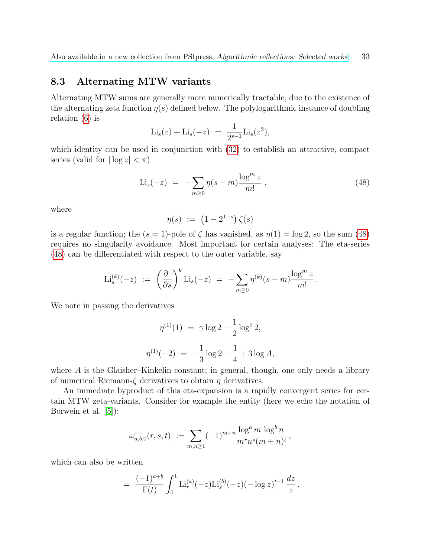# <span id="page-32-0"></span>8.3 Alternating MTW variants

Alternating MTW sums are generally more numerically tractable, due to the existence of the alternating zeta function  $\eta(s)$  defined below. The polylogarithmic instance of doubling relation [\(6\)](#page-5-4) is

$$
\mathrm{Li}_s(z) + \mathrm{Li}_s(-z) = \frac{1}{2^{s-1}} \mathrm{Li}_s(z^2),
$$

which identity can be used in conjunction with  $(32)$  to establish an attractive, compact series (valid for  $|\log z| < \pi$ )

<span id="page-32-1"></span>
$$
\text{Li}_s(-z) = -\sum_{m\geq 0} \eta(s-m) \frac{\log^m z}{m!} \,, \tag{48}
$$

where

$$
\eta(s) := (1 - 2^{1-s}) \zeta(s)
$$

is a regular function; the  $(s = 1)$ -pole of  $\zeta$  has vanished, as  $\eta(1) = \log 2$ , so the sum [\(48\)](#page-32-1) requires no singularity avoidance. Most important for certain analyses: The eta-series [\(48\)](#page-32-1) can be differentiated with respect to the outer variable, say

$$
\mathrm{Li}^{(k)}_s(-z) \; := \; \left(\frac{\partial}{\partial s}\right)^k \mathrm{Li}_s(-z) \; = \; -\sum_{m\geq 0} \eta^{(k)}(s-m) \frac{\log^m z}{m!}.
$$

We note in passing the derivatives

$$
\eta^{(1)}(1) = \gamma \log 2 - \frac{1}{2} \log^2 2,
$$
  

$$
\eta^{(1)}(-2) = -\frac{1}{3} \log 2 - \frac{1}{4} + 3 \log A,
$$

where A is the Glaisher–Kinkelin constant; in general, though, one only needs a library of numerical Riemann- $\zeta$  derivatives to obtain  $\eta$  derivatives.

An immediate byproduct of this eta-expansion is a rapidly convergent series for certain MTW zeta-variants. Consider for example the entity (here we echo the notation of Borwein et al. [\[5\]](#page-48-3)):

$$
\omega_{a,b,0}^{-}(r,s,t) := \sum_{m,n \geq 1} (-1)^{m+n} \frac{\log^a m \log^b n}{m^r n^s (m+n)^t},
$$

which can also be written

$$
= \frac{(-1)^{a+b}}{\Gamma(t)} \int_0^1 \mathrm{Li}_r^{(a)}(-z) \mathrm{Li}_s^{(b)}(-z) (-\log z)^{t-1} \frac{dz}{z}.
$$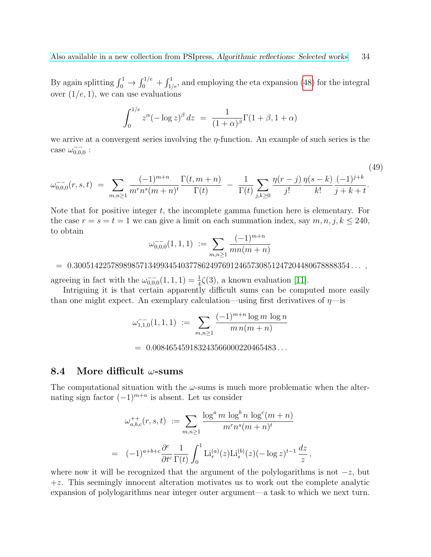By again splitting  $\int_0^1 \to \int_0^{1/e} + \int_{1/e}^1$ , and employing the eta expansion [\(48\)](#page-32-1) for the integral over  $(1/e, 1)$ , we can use evaluations

$$
\int_0^{1/e} z^{\alpha} (-\log z)^{\beta} dz = \frac{1}{(1+\alpha)^{\beta}} \Gamma(1+\beta, 1+\alpha)
$$

we arrive at a convergent series involving the  $\eta$ -function. An example of such series is the case  $\omega_{0,0,0}^{-}$ :

$$
\omega_{0,0,0}^{-}(r,s,t) = \sum_{m,n \ge 1} \frac{(-1)^{m+n}}{m^r n^s (m+n)^t} \frac{\Gamma(t,m+n)}{\Gamma(t)} - \frac{1}{\Gamma(t)} \sum_{j,k \ge 0} \frac{\eta(r-j)}{j!} \frac{\eta(s-k)}{k!} \frac{(-1)^{j+k}}{j+k+t}.
$$
\n(49)

Note that for positive integer  $t$ , the incomplete gamma function here is elementary. For the case  $r = s = t = 1$  we can give a limit on each summation index, say  $m, n, j, k \leq 240$ , to obtain (−1)<sup>m</sup>+<sup>n</sup>

$$
\omega_{0,0,0}^{-}(1,1,1) := \sum_{m,n \geq 1} \frac{(-1)^{m+n}}{mn(m+n)}
$$

#### $= 0.3005142257898985713499345403778624976912465730851247204480678888354...$

agreeing in fact with the  $\omega_{0,0,0}^{-1}(1,1,1) = \frac{1}{4}\zeta(3)$ , a known evaluation [\[11\]](#page-48-10).

Intriguing it is that certain apparently difficult sums can be computed more easily than one might expect. An exemplary calculation—using first derivatives of  $\eta$ —is

$$
\omega_{1,1,0}^{-1}(1,1,1) := \sum_{m,n \geq 1} \frac{(-1)^{m+n} \log m \log n}{m n(m+n)}
$$

 $= 0.008465459183243566000220465483...$ 

#### <span id="page-33-0"></span>8.4 More difficult  $\omega$ -sums

The computational situation with the  $\omega$ -sums is much more problematic when the alternating sign factor  $(-1)^{m+n}$  is absent. Let us consider

$$
\omega_{a,b,c}^{++}(r,s,t) := \sum_{m,n \ge 1} \frac{\log^a m \log^b n \log^c (m+n)}{m^r n^s (m+n)^t}
$$
  
=  $(-1)^{a+b+c} \frac{\partial^c}{\partial t^c} \frac{1}{\Gamma(t)} \int_0^1 \text{Li}_r^{(a)}(z) \text{Li}_s^{(b)}(z) (-\log z)^{t-1} \frac{dz}{z}$ 

,

where now it will be recognized that the argument of the polylogarithms is not  $-z$ , but  $+z$ . This seemingly innocent alteration motivates us to work out the complete analytic expansion of polylogarithms near integer outer argument—a task to which we next turn.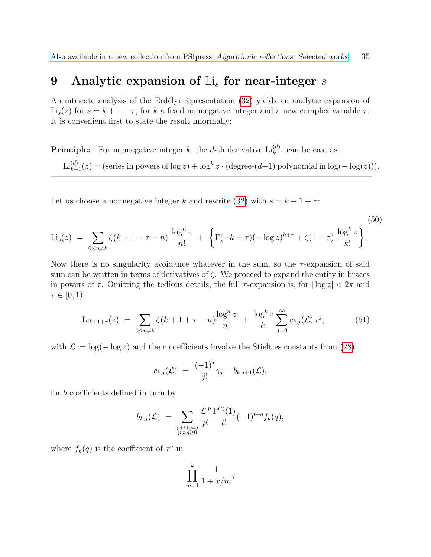# <span id="page-34-0"></span>9 Analytic expansion of  $\text{Li}_s$  for near-integer s

An intricate analysis of the Erdélyi representation [\(32\)](#page-20-3) yields an analytic expansion of  $\text{Li}_s(z)$  for  $s = k + 1 + \tau$ , for k a fixed nonnegative integer and a new complex variable  $\tau$ . It is convenient first to state the result informally:

**Principle:** For nonnegative integer k, the d-th derivative  $\text{Li}_{k+1}^{(d)}$  can be cast as Li<sup>(d)</sup><sub>k+1</sub>(z) = (series in powers of log z) + log<sup>k</sup> z · (degree-(d+1) polynomial in log(- log(z))).

 $\overline{\phantom{a}}$  , and the contract of the contract of the contract of the contract of the contract of the contract of the contract of the contract of the contract of the contract of the contract of the contract of the contrac

 $\overline{\phantom{a}}$  , and the contribution of the contribution of  $\overline{\phantom{a}}$ 

Let us choose a nonnegative integer k and rewrite [\(32\)](#page-20-3) with  $s = k + 1 + \tau$ :

$$
\text{Li}_s(z) = \sum_{0 \le n \ne k} \zeta(k+1+\tau-n) \frac{\log^n z}{n!} + \left\{ \Gamma(-k-\tau)(-\log z)^{k+\tau} + \zeta(1+\tau) \frac{\log^k z}{k!} \right\}.
$$
\n(50)

Now there is no singularity avoidance whatever in the sum, so the  $\tau$ -expansion of said sum can be written in terms of derivatives of  $\zeta$ . We proceed to expand the entity in braces in powers of  $\tau$ . Omitting the tedious details, the full  $\tau$ -expansion is, for  $|\log z| < 2\pi$  and  $\tau \in [0,1)$ :

$$
\text{Li}_{k+1+\tau}(z) \ = \ \sum_{0 \le n \ne k} \zeta(k+1+\tau-n) \frac{\log^n z}{n!} \ + \ \frac{\log^k z}{k!} \sum_{j=0}^{\infty} c_{k,j}(\mathcal{L}) \,\tau^j,\tag{51}
$$

with  $\mathcal{L} := \log(-\log z)$  and the c coefficients involve the Stieltjes constants from [\(28\)](#page-19-2):

$$
c_{k,j}(\mathcal{L})\;=\;\frac{(-1)^j}{j!}\gamma_j-b_{k,j+1}(\mathcal{L}),
$$

for b coefficients defined in turn by

$$
b_{k,j}(\mathcal{L}) = \sum_{\substack{p+t+q=j\\p,t,q\geq 0}} \frac{\mathcal{L}^p}{p!} \frac{\Gamma^{(t)}(1)}{t!} (-1)^{t+q} f_k(q),
$$

where  $f_k(q)$  is the coefficient of  $x^q$  in

$$
\prod_{m=1}^k \frac{1}{1+x/m},
$$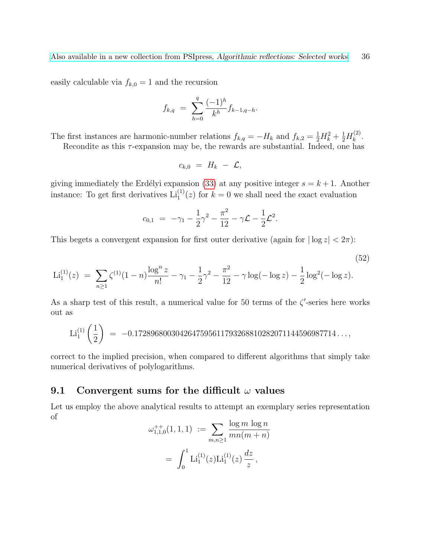easily calculable via  $f_{k,0} = 1$  and the recursion

$$
f_{k,q} = \sum_{h=0}^{q} \frac{(-1)^h}{k^h} f_{k-1,q-h}.
$$

The first instances are harmonic-number relations  $f_{k,q} = -H_k$  and  $f_{k,2} = \frac{1}{2}H_k^2 + \frac{1}{2}H_k^{(2)}$  $\frac{1}{k}$ .

Recondite as this  $\tau$ -expansion may be, the rewards are substantial. Indeed, one has

<span id="page-35-1"></span>
$$
c_{k,0} = H_k - \mathcal{L},
$$

giving immediately the Erdélyi expansion [\(33\)](#page-21-1) at any positive integer  $s = k + 1$ . Another instance: To get first derivatives  $\text{Li}_1^{(1)}(z)$  for  $k=0$  we shall need the exact evaluation

$$
c_{0,1} = -\gamma_1 - \frac{1}{2}\gamma^2 - \frac{\pi^2}{12} - \gamma \mathcal{L} - \frac{1}{2}\mathcal{L}^2.
$$

This begets a convergent expansion for first outer derivative (again for  $|\log z| < 2\pi$ ):

$$
\text{Li}_1^{(1)}(z) \ = \ \sum_{n\geq 1} \zeta^{(1)}(1-n) \frac{\log^n z}{n!} - \gamma_1 - \frac{1}{2}\gamma^2 - \frac{\pi^2}{12} - \gamma \log(-\log z) - \frac{1}{2}\log^2(-\log z). \tag{52}
$$

As a sharp test of this result, a numerical value for 50 terms of the  $\zeta'$ -series here works out as

Li<sub>1</sub><sup>(1)</sup> 
$$
\left(\frac{1}{2}\right)
$$
 = -0.1728968003042647595611793268810282071144596987714...,

correct to the implied precision, when compared to different algorithms that simply take numerical derivatives of polylogarithms.

### <span id="page-35-0"></span>9.1 Convergent sums for the difficult  $\omega$  values

Let us employ the above analytical results to attempt an exemplary series representation of

$$
\omega_{1,1,0}^{++}(1,1,1) := \sum_{m,n \ge 1} \frac{\log m \log n}{mn(m+n)}
$$

$$
= \int_0^1 \text{Li}_1^{(1)}(z) \text{Li}_1^{(1)}(z) \frac{dz}{z},
$$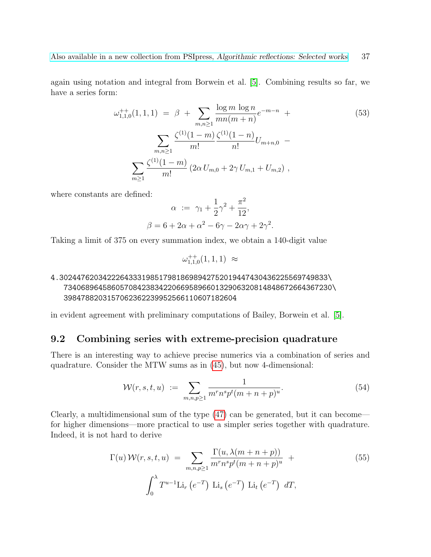again using notation and integral from Borwein et al. [\[5\]](#page-48-3). Combining results so far, we have a series form:

$$
\omega_{1,1,0}^{++}(1,1,1) = \beta + \sum_{m,n\geq 1} \frac{\log m \log n}{mn(m+n)} e^{-m-n} + \sum_{m,n\geq 1} \frac{\zeta^{(1)}(1-m)}{m!} \frac{\zeta^{(1)}(1-n)}{n!} U_{m+n,0} - \sum_{m\geq 1} \frac{\zeta^{(1)}(1-m)}{m!} (2\alpha U_{m,0} + 2\gamma U_{m,1} + U_{m,2}),
$$
\n(53)

where constants are defined:

$$
\alpha := \gamma_1 + \frac{1}{2}\gamma^2 + \frac{\pi^2}{12}, \n\beta = 6 + 2\alpha + \alpha^2 - 6\gamma - 2\alpha\gamma + 2\gamma^2.
$$

Taking a limit of 375 on every summation index, we obtain a 140-digit value

$$
\omega^{++}_{1,1,0}(1,1,1) \approx
$$

### 4.30244762034222643331985179818698942752019447430436225569749833\ 73406896458605708423834220669589660132906320814848672664367230\ 3984788203157062362239952566110607182604

in evident agreement with preliminary computations of Bailey, Borwein et al. [\[5\]](#page-48-3).

#### <span id="page-36-0"></span>9.2 Combining series with extreme-precision quadrature

There is an interesting way to achieve precise numerics via a combination of series and quadrature. Consider the MTW sums as in [\(45\)](#page-29-2), but now 4-dimensional:

$$
\mathcal{W}(r,s,t,u) := \sum_{m,n,p \ge 1} \frac{1}{m^r n^s p^t (m+n+p)^u}.
$$
 (54)

Clearly, a multidimensional sum of the type [\(47\)](#page-30-0) can be generated, but it can become for higher dimensions—more practical to use a simpler series together with quadrature. Indeed, it is not hard to derive

$$
\Gamma(u) \mathcal{W}(r, s, t, u) = \sum_{m, n, p \ge 1} \frac{\Gamma(u, \lambda(m + n + p))}{m^r n^s p^t (m + n + p)^u} + \int_0^{\lambda} T^{u-1} \text{Li}_r(e^{-T}) \text{Li}_s(e^{-T}) \text{Li}_t(e^{-T}) dT,
$$
\n(55)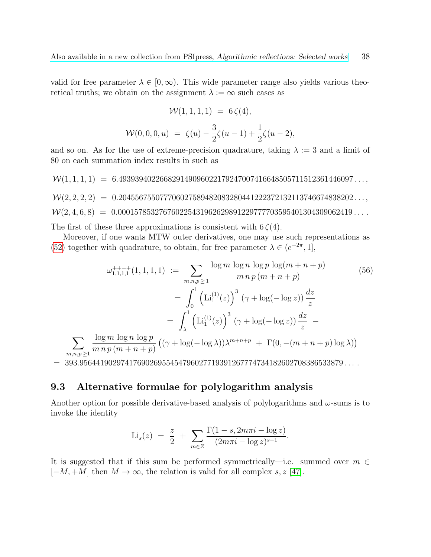valid for free parameter  $\lambda \in [0,\infty)$ . This wide parameter range also yields various theoretical truths; we obtain on the assignment  $\lambda := \infty$  such cases as

$$
\mathcal{W}(1,1,1,1) = 6\zeta(4),
$$
  

$$
\mathcal{W}(0,0,0,u) = \zeta(u) - \frac{3}{2}\zeta(u-1) + \frac{1}{2}\zeta(u-2),
$$

and so on. As for the use of extreme-precision quadrature, taking  $\lambda := 3$  and a limit of 80 on each summation index results in such as

 $W(1, 1, 1, 1) = 6.493939402266829149096022179247007416648505711512361446097...$  $W(2, 2, 2, 2) = 0.204556755077706027589482083280441222372132113746674838202...$  $W(2, 4, 6, 8) = 0.000157853276760225431962629891229777703595401304309062419...$ 

The first of these three approximations is consistent with  $6\zeta(4)$ .

Moreover, if one wants MTW outer derivatives, one may use such representations as [\(52\)](#page-35-1) together with quadrature, to obtain, for free parameter  $\lambda \in (e^{-2\pi}, 1]$ ,

$$
\omega_{1,1,1,1}^{+++}(1,1,1,1) := \sum_{m,n,p\geq 1} \frac{\log m \log n \log p \log(m+n+p)}{m \, n \, p \, (m+n+p)} \tag{56}
$$

$$
= \int_0^1 \left( \text{Li}_1^{(1)}(z) \right)^3 (\gamma + \log(-\log z)) \frac{dz}{z}
$$

$$
= \int_{\lambda}^1 \left( \text{Li}_1^{(1)}(z) \right)^3 (\gamma + \log(-\log z)) \frac{dz}{z} - \frac{\log m \log n \log p}{m \, n \, p \, (m+n+p)} \left( (\gamma + \log(-\log \lambda)) \lambda^{m+n+p} + \Gamma(0, -(m+n+p) \log \lambda) \right)
$$

 $= 393.9564419029741769026955454796027719391267774734182602708386533879...$ 

# <span id="page-37-0"></span>9.3 Alternative formulae for polylogarithm analysis

 $\sum$  $m,n,p \geq 1$ 

Another option for possible derivative-based analysis of polylogarithms and  $\omega$ -sums is to invoke the identity

$$
\text{Li}_s(z) = \frac{z}{2} + \sum_{m \in \mathbb{Z}} \frac{\Gamma(1 - s, 2m\pi i - \log z)}{(2m\pi i - \log z)^{s-1}}.
$$

It is suggested that if this sum be performed symmetrically—i.e. summed over  $m \in$  $[-M, +M]$  then  $M \to \infty$ , the relation is valid for all complex s, z [\[47\]](#page-51-13).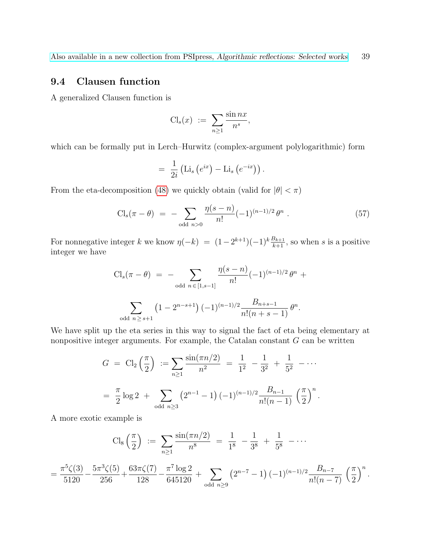# <span id="page-38-0"></span>9.4 Clausen function

A generalized Clausen function is

$$
\mathrm{Cl}_s(x) := \sum_{n\geq 1} \frac{\sin nx}{n^s},
$$

which can be formally put in Lerch–Hurwitz (complex-argument polylogarithmic) form

$$
= \frac{1}{2i} \left( \text{Li}_s \left( e^{ix} \right) - \text{Li}_s \left( e^{-ix} \right) \right).
$$

From the eta-decomposition [\(48\)](#page-32-1) we quickly obtain (valid for  $|\theta| < \pi$ )

<span id="page-38-1"></span>
$$
\text{Cl}_s(\pi - \theta) = -\sum_{\text{odd } n > 0} \frac{\eta(s - n)}{n!} (-1)^{(n-1)/2} \theta^n \ . \tag{57}
$$

For nonnegative integer k we know  $\eta(-k) = (1-2^{k+1})(-1)^k \frac{B_{k+1}}{k+1}$ , so when s is a positive integer we have

$$
\text{Cl}_s(\pi - \theta) = - \sum_{\text{odd } n \in [1, s-1]} \frac{\eta(s-n)}{n!} (-1)^{(n-1)/2} \theta^n + \sum_{\text{odd } n \ge s+1} (1 - 2^{n-s+1}) (-1)^{(n-1)/2} \frac{B_{n+s-1}}{n!(n+s-1)} \theta^n.
$$

We have split up the eta series in this way to signal the fact of eta being elementary at nonpositive integer arguments. For example, the Catalan constant  $G$  can be written

$$
G = \text{Cl}_2\left(\frac{\pi}{2}\right) := \sum_{n\geq 1} \frac{\sin(\pi n/2)}{n^2} = \frac{1}{1^2} - \frac{1}{3^2} + \frac{1}{5^2} - \cdots
$$

$$
= \frac{\pi}{2} \log 2 + \sum_{\text{odd } n \geq 3} \left(2^{n-1} - 1\right) (-1)^{(n-1)/2} \frac{B_{n-1}}{n!(n-1)} \left(\frac{\pi}{2}\right)^n.
$$

A more exotic example is

$$
\text{Cl}_8\left(\frac{\pi}{2}\right) := \sum_{n\geq 1} \frac{\sin(\pi n/2)}{n^8} = \frac{1}{1^8} - \frac{1}{3^8} + \frac{1}{5^8} - \cdots
$$
\n
$$
= \frac{\pi^5 \zeta(3)}{5120} - \frac{5\pi^3 \zeta(5)}{256} + \frac{63\pi \zeta(7)}{128} - \frac{\pi^7 \log 2}{645120} + \sum_{\text{odd } n \geq 9} \left(2^{n-7} - 1\right) (-1)^{(n-1)/2} \frac{B_{n-7}}{n!(n-7)} \left(\frac{\pi}{2}\right)^n.
$$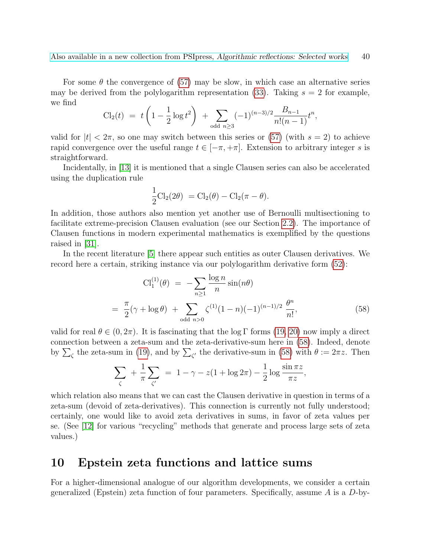For some  $\theta$  the convergence of [\(57\)](#page-38-1) may be slow, in which case an alternative series may be derived from the polylogarithm representation [\(33\)](#page-21-1). Taking  $s = 2$  for example, we find

$$
\text{Cl}_2(t) = t \left( 1 - \frac{1}{2} \log t^2 \right) + \sum_{\text{odd } n \ge 3} (-1)^{(n-3)/2} \frac{B_{n-1}}{n!(n-1)} t^n,
$$

valid for  $|t| < 2\pi$ , so one may switch between this series or [\(57\)](#page-38-1) (with  $s = 2$ ) to achieve rapid convergence over the useful range  $t \in [-\pi, +\pi]$ . Extension to arbitrary integer s is straightforward.

Incidentally, in [\[13\]](#page-48-11) it is mentioned that a single Clausen series can also be accelerated using the duplication rule

$$
\frac{1}{2}Cl_2(2\theta) = Cl_2(\theta) - Cl_2(\pi - \theta).
$$

In addition, those authors also mention yet another use of Bernoulli multisectioning to facilitate extreme-precision Clausen evaluation (see our Section [2.2\)](#page-9-0). The importance of Clausen functions in modern experimental mathematics is exemplified by the questions raised in [\[31\]](#page-50-9).

In the recent literature [\[5\]](#page-48-3) there appear such entities as outer Clausen derivatives. We record here a certain, striking instance via our polylogarithm derivative form [\(52\)](#page-35-1):

<span id="page-39-1"></span>
$$
Cl_1^{(1)}(\theta) = -\sum_{n\geq 1} \frac{\log n}{n} \sin(n\theta)
$$
  
=  $\frac{\pi}{2}(\gamma + \log \theta) + \sum_{\text{odd } n>0} \zeta^{(1)}(1-n)(-1)^{(n-1)/2} \frac{\theta^n}{n!},$  (58)

valid for real  $\theta \in (0, 2\pi)$ . It is fascinating that the log Γ forms [\(19,](#page-16-3) [20\)](#page-16-1) now imply a direct connection between a zeta-sum and the zeta-derivative-sum here in [\(58\)](#page-39-1). Indeed, denote by  $\sum_{\zeta}$  the zeta-sum in [\(19\)](#page-16-3), and by  $\sum_{\zeta'}$  the derivative-sum in [\(58\)](#page-39-1) with  $\theta := 2\pi z$ . Then

$$
\sum_{\zeta} + \frac{1}{\pi} \sum_{\zeta'} = 1 - \gamma - z(1 + \log 2\pi) - \frac{1}{2} \log \frac{\sin \pi z}{\pi z},
$$

which relation also means that we can cast the Clausen derivative in question in terms of a zeta-sum (devoid of zeta-derivatives). This connection is currently not fully understood; certainly, one would like to avoid zeta derivatives in sums, in favor of zeta values per se. (See [\[12\]](#page-48-0) for various "recycling" methods that generate and process large sets of zeta values.)

# <span id="page-39-0"></span>10 Epstein zeta functions and lattice sums

For a higher-dimensional analogue of our algorithm developments, we consider a certain generalized (Epstein) zeta function of four parameters. Specifically, assume  $A$  is a  $D$ -by-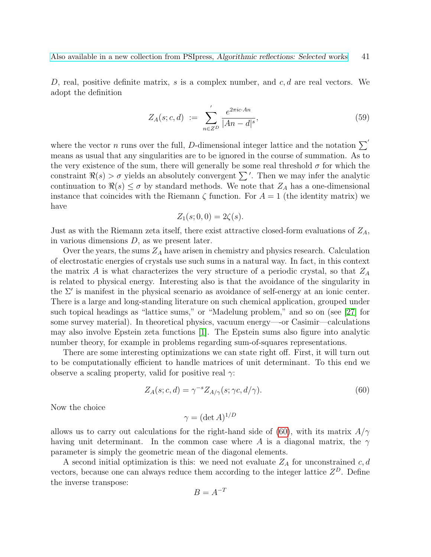D, real, positive definite matrix, s is a complex number, and  $c, d$  are real vectors. We adopt the definition

$$
Z_A(s; c, d) := \sum_{n \in Z^D}^{\prime} \frac{e^{2\pi i c \cdot An}}{|An - d|^s},
$$
\n(59)

where the vector n runs over the full, D-dimensional integer lattice and the notation  $\Sigma$ means as usual that any singularities are to be ignored in the course of summation. As to the very existence of the sum, there will generally be some real threshold  $\sigma$  for which the constraint  $\Re(s) > \sigma$  yields an absolutely convergent  $\sum'$ . Then we may infer the analytic continuation to  $\Re(s) \leq \sigma$  by standard methods. We note that  $Z_A$  has a one-dimensional instance that coincides with the Riemann  $\zeta$  function. For  $A = 1$  (the identity matrix) we have

$$
Z_1(s;0,0) = 2\zeta(s).
$$

Just as with the Riemann zeta itself, there exist attractive closed-form evaluations of  $Z_A$ , in various dimensions  $D$ , as we present later.

Over the years, the sums  $Z_A$  have arisen in chemistry and physics research. Calculation of electrostatic energies of crystals use such sums in a natural way. In fact, in this context the matrix A is what characterizes the very structure of a periodic crystal, so that  $Z_A$ is related to physical energy. Interesting also is that the avoidance of the singularity in the  $\Sigma'$  is manifest in the physical scenario as avoidance of self-energy at an ionic center. There is a large and long-standing literature on such chemical application, grouped under such topical headings as "lattice sums," or "Madelung problem," and so on (see [\[27\]](#page-50-10) for some survey material). In theoretical physics, vacuum energy—-or Casimir—calculations may also involve Epstein zeta functions [\[1\]](#page-48-12). The Epstein sums also figure into analytic number theory, for example in problems regarding sum-of-squares representations.

There are some interesting optimizations we can state right off. First, it will turn out to be computationally efficient to handle matrices of unit determinant. To this end we observe a scaling property, valid for positive real  $\gamma$ :

<span id="page-40-0"></span>
$$
Z_A(s; c, d) = \gamma^{-s} Z_{A/\gamma}(s; \gamma c, d/\gamma).
$$
\n(60)

Now the choice

 $\gamma = (\det A)^{1/D}$ 

allows us to carry out calculations for the right-hand side of [\(60\)](#page-40-0), with its matrix  $A/\gamma$ having unit determinant. In the common case where A is a diagonal matrix, the  $\gamma$ parameter is simply the geometric mean of the diagonal elements.

A second initial optimization is this: we need not evaluate  $Z_A$  for unconstrained c, d vectors, because one can always reduce them according to the integer lattice  $Z^D$ . Define the inverse transpose:

$$
B = A^{-T}
$$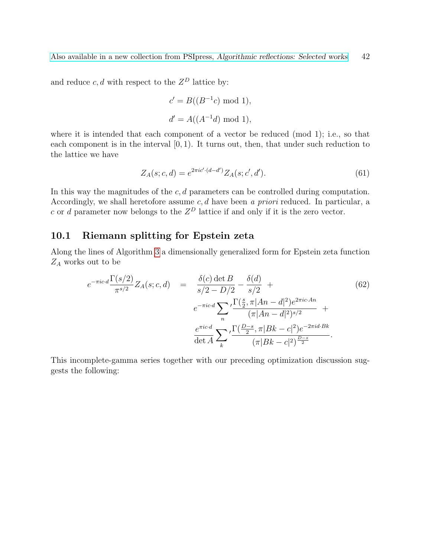and reduce  $c, d$  with respect to the  $Z^D$  lattice by:

$$
c' = B((B^{-1}c) \mod 1),
$$
  

$$
d' = A((A^{-1}d) \mod 1),
$$

where it is intended that each component of a vector be reduced (mod 1); i.e., so that each component is in the interval  $[0, 1)$ . It turns out, then, that under such reduction to the lattice we have

<span id="page-41-1"></span>
$$
Z_A(s; c, d) = e^{2\pi i c' \cdot (d - d')} Z_A(s; c', d'). \tag{61}
$$

In this way the magnitudes of the  $c, d$  parameters can be controlled during computation. Accordingly, we shall heretofore assume  $c, d$  have been a priori reduced. In particular, a c or d parameter now belongs to the  $Z^D$  lattice if and only if it is the zero vector.

# <span id="page-41-0"></span>10.1 Riemann splitting for Epstein zeta

Along the lines of Algorithm [3](#page-12-0) a dimensionally generalized form for Epstein zeta function  $Z_A$  works out to be

<span id="page-41-2"></span>
$$
e^{-\pi ic \cdot d} \frac{\Gamma(s/2)}{\pi^{s/2}} Z_A(s; c, d) = \frac{\delta(c) \det B}{s/2 - D/2} - \frac{\delta(d)}{s/2} +
$$
  
\n
$$
e^{-\pi ic \cdot d} \sum_{n} \frac{\Gamma(\frac{s}{2}, \pi |An - d|^2) e^{2\pi ic \cdot An}}{(\pi |An - d|^2)^{s/2}} +
$$
  
\n
$$
\frac{e^{\pi ic \cdot d}}{\det A} \sum_{k} \frac{\Gamma(\frac{D-s}{2}, \pi |Bk - c|^2) e^{-2\pi id \cdot Bk}}{(\pi |Bk - c|^2)^{\frac{D-s}{2}}}.
$$
\n(62)

This incomplete-gamma series together with our preceding optimization discussion suggests the following: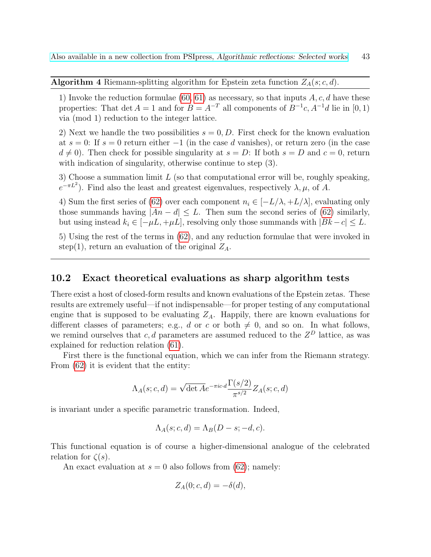**Algorithm 4** Riemann-splitting algorithm for Epstein zeta function  $Z_A(s; c, d)$ .

1) Invoke the reduction formulae [\(60,](#page-40-0) [61\)](#page-41-1) as necessary, so that inputs  $A, c, d$  have these properties: That det  $A = 1$  and for  $B = A^{-T}$  all components of  $B^{-1}c$ ,  $A^{-1}d$  lie in [0, 1) via (mod 1) reduction to the integer lattice.

2) Next we handle the two possibilities  $s = 0, D$ . First check for the known evaluation at  $s = 0$ : If  $s = 0$  return either  $-1$  (in the case d vanishes), or return zero (in the case  $d \neq 0$ ). Then check for possible singularity at  $s = D$ : If both  $s = D$  and  $c = 0$ , return with indication of singularity, otherwise continue to step  $(3)$ .

3) Choose a summation limit  $L$  (so that computational error will be, roughly speaking,  $e^{-\pi L^2}$ ). Find also the least and greatest eigenvalues, respectively  $\lambda, \mu$ , of A.

4) Sum the first series of [\(62\)](#page-41-2) over each component  $n_i \in [-L/\lambda, +L/\lambda]$ , evaluating only those summands having  $|An - d| \leq L$ . Then sum the second series of [\(62\)](#page-41-2) similarly, but using instead  $k_i \in [-\mu L, +\mu L]$ , resolving only those summands with  $|Bk - c| \leq L$ .

5) Using the rest of the terms in [\(62\)](#page-41-2), and any reduction formulae that were invoked in step(1), return an evaluation of the original  $Z_A$ .

### <span id="page-42-0"></span>10.2 Exact theoretical evaluations as sharp algorithm tests

There exist a host of closed-form results and known evaluations of the Epstein zetas. These results are extremely useful—if not indispensable—for proper testing of any computational engine that is supposed to be evaluating  $Z_A$ . Happily, there are known evaluations for different classes of parameters; e.g., d or c or both  $\neq 0$ , and so on. In what follows, we remind ourselves that  $c, d$  parameters are assumed reduced to the  $Z^D$  lattice, as was explained for reduction relation [\(61\)](#page-41-1).

First there is the functional equation, which we can infer from the Riemann strategy. From [\(62\)](#page-41-2) it is evident that the entity:

$$
\Lambda_A(s; c, d) = \sqrt{\det A} e^{-\pi i c \cdot d} \frac{\Gamma(s/2)}{\pi^{s/2}} Z_A(s; c, d)
$$

is invariant under a specific parametric transformation. Indeed,

$$
\Lambda_A(s; c, d) = \Lambda_B(D - s; -d, c).
$$

This functional equation is of course a higher-dimensional analogue of the celebrated relation for  $\zeta(s)$ .

An exact evaluation at  $s = 0$  also follows from [\(62\)](#page-41-2); namely:

$$
Z_A(0; c, d) = -\delta(d),
$$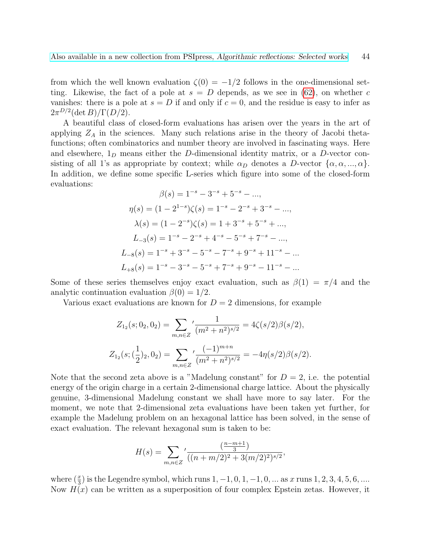from which the well known evaluation  $\zeta(0) = -1/2$  follows in the one-dimensional setting. Likewise, the fact of a pole at  $s = D$  depends, as we see in [\(62\)](#page-41-2), on whether c vanishes: there is a pole at  $s = D$  if and only if  $c = 0$ , and the residue is easy to infer as  $2\pi^{D/2}(\det B)/\Gamma(D/2).$ 

A beautiful class of closed-form evaluations has arisen over the years in the art of applying  $Z_A$  in the sciences. Many such relations arise in the theory of Jacobi thetafunctions; often combinatorics and number theory are involved in fascinating ways. Here and elsewhere,  $1_D$  means either the D-dimensional identity matrix, or a D-vector consisting of all 1's as appropriate by context; while  $\alpha_D$  denotes a D-vector  $\{\alpha, \alpha, ..., \alpha\}$ . In addition, we define some specific L-series which figure into some of the closed-form evaluations:

$$
\beta(s) = 1^{-s} - 3^{-s} + 5^{-s} - \dots,
$$
  
\n
$$
\eta(s) = (1 - 2^{1-s})\zeta(s) = 1^{-s} - 2^{-s} + 3^{-s} - \dots,
$$
  
\n
$$
\lambda(s) = (1 - 2^{-s})\zeta(s) = 1 + 3^{-s} + 5^{-s} + \dots,
$$
  
\n
$$
L_{-3}(s) = 1^{-s} - 2^{-s} + 4^{-s} - 5^{-s} + 7^{-s} - \dots,
$$
  
\n
$$
L_{-8}(s) = 1^{-s} + 3^{-s} - 5^{-s} - 7^{-s} + 9^{-s} + 11^{-s} - \dots
$$
  
\n
$$
L_{+8}(s) = 1^{-s} - 3^{-s} - 5^{-s} + 7^{-s} + 9^{-s} - 11^{-s} - \dots
$$

Some of these series themselves enjoy exact evaluation, such as  $\beta(1) = \pi/4$  and the analytic continuation evaluation  $\beta(0) = 1/2$ .

Various exact evaluations are known for  $D = 2$  dimensions, for example

$$
Z_{1_2}(s; 0_2, 0_2) = \sum_{m,n \in \mathbb{Z}} \frac{1}{(m^2 + n^2)^{s/2}} = 4\zeta(s/2)\beta(s/2),
$$
  

$$
Z_{1_2}(s; (\frac{1}{2})_2, 0_2) = \sum_{m,n \in \mathbb{Z}} \frac{(-1)^{m+n}}{(m^2 + n^2)^{s/2}} = -4\eta(s/2)\beta(s/2).
$$

Note that the second zeta above is a "Madelung constant" for  $D = 2$ , i.e. the potential energy of the origin charge in a certain 2-dimensional charge lattice. About the physically genuine, 3-dimensional Madelung constant we shall have more to say later. For the moment, we note that 2-dimensional zeta evaluations have been taken yet further, for example the Madelung problem on an hexagonal lattice has been solved, in the sense of exact evaluation. The relevant hexagonal sum is taken to be:

$$
H(s) = \sum_{m,n \in \mathbb{Z}} \frac{\left(\frac{n-m+1}{3}\right)}{((n+m/2)^2 + 3(m/2)^2)^{s/2}},
$$

where  $(\frac{x}{3})$  is the Legendre symbol, which runs  $1, -1, 0, 1, -1, 0, ...$  as x runs  $1, 2, 3, 4, 5, 6, ...$ Now  $H(x)$  can be written as a superposition of four complex Epstein zetas. However, it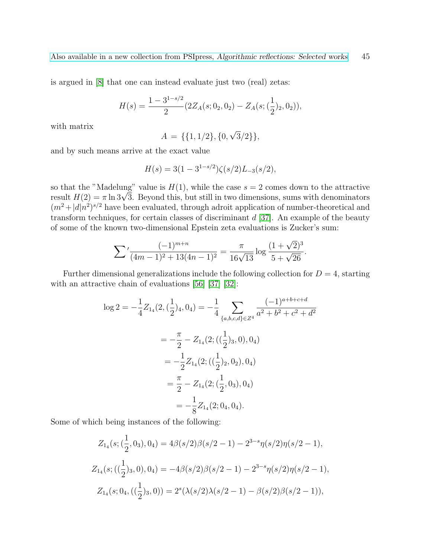is argued in [\[8\]](#page-48-13) that one can instead evaluate just two (real) zetas:

$$
H(s) = \frac{1 - 3^{1 - s/2}}{2} (2Z_A(s; 0_2, 0_2) - Z_A(s; (\frac{1}{2})_2, 0_2)),
$$

with matrix

$$
A = \{\{1, 1/2\}, \{0, \sqrt{3}/2\}\},\
$$

and by such means arrive at the exact value

$$
H(s) = 3(1 - 3^{1-s/2})\zeta(s/2)L_{-3}(s/2),
$$

so that the "Madelung" value is  $H(1)$ , while the case  $s = 2$  comes down to the attractive so that the "Madelung" value is  $H(1)$ , while the case  $s = 2$  comes down to the attractive<br>result  $H(2) = \pi \ln 3\sqrt{3}$ . Beyond this, but still in two dimensions, sums with denominators  $(m^2+|d|n^2)^{s/2}$  have been evaluated, through adroit application of number-theoretical and transform techniques, for certain classes of discriminant  $d$  [\[37\]](#page-50-11). An example of the beauty of some of the known two-dimensional Epstein zeta evaluations is Zucker's sum:

$$
\sum' \frac{(-1)^{m+n}}{(4m-1)^2 + 13(4n-1)^2} = \frac{\pi}{16\sqrt{13}} \log \frac{(1+\sqrt{2})^3}{5+\sqrt{26}}.
$$

Further dimensional generalizations include the following collection for  $D = 4$ , starting with an attractive chain of evaluations [\[56\]](#page-52-0) [\[37\]](#page-50-11) [\[32\]](#page-50-12):

$$
\log 2 = -\frac{1}{4} Z_{14}(2, (\frac{1}{2})_4, 0_4) = -\frac{1}{4} \sum_{\{a,b,c,d\} \in \mathbb{Z}^4} \frac{(-1)^{a+b+c+d}}{a^2 + b^2 + c^2 + d^2}
$$
  

$$
= -\frac{\pi}{2} - Z_{14}(2; ((\frac{1}{2})_3, 0), 0_4)
$$
  

$$
= -\frac{1}{2} Z_{14}(2; ((\frac{1}{2})_2, 0_2), 0_4)
$$
  

$$
= \frac{\pi}{2} - Z_{14}(2; (\frac{1}{2}, 0_3), 0_4)
$$
  

$$
= -\frac{1}{8} Z_{14}(2; 0_4, 0_4).
$$

Some of which being instances of the following:

$$
Z_{14}(s; (\frac{1}{2}, 0_3), 0_4) = 4\beta(s/2)\beta(s/2 - 1) - 2^{3-s}\eta(s/2)\eta(s/2 - 1),
$$
  
\n
$$
Z_{14}(s; ((\frac{1}{2})_3, 0), 0_4) = -4\beta(s/2)\beta(s/2 - 1) - 2^{3-s}\eta(s/2)\eta(s/2 - 1),
$$
  
\n
$$
Z_{14}(s; 0_4, ((\frac{1}{2})_3, 0)) = 2^s(\lambda(s/2)\lambda(s/2 - 1) - \beta(s/2)\beta(s/2 - 1)),
$$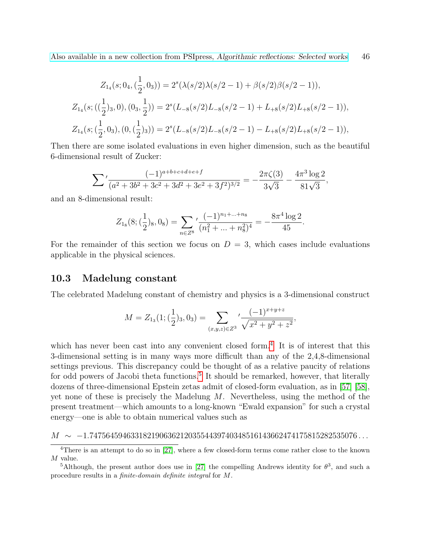$$
Z_{14}(s; 0_4, (\frac{1}{2}, 0_3)) = 2^s (\lambda(s/2)\lambda(s/2 - 1) + \beta(s/2)\beta(s/2 - 1)),
$$
  
\n
$$
Z_{14}(s; ((\frac{1}{2})_3, 0), (0_3, \frac{1}{2})) = 2^s (L_{-8}(s/2)L_{-8}(s/2 - 1) + L_{+8}(s/2)L_{+8}(s/2 - 1)),
$$
  
\n
$$
Z_{14}(s; (\frac{1}{2}, 0_3), (0, (\frac{1}{2})_3)) = 2^s (L_{-8}(s/2)L_{-8}(s/2 - 1) - L_{+8}(s/2)L_{+8}(s/2 - 1)),
$$

Then there are some isolated evaluations in even higher dimension, such as the beautiful 6-dimensional result of Zucker:

$$
\sum' \frac{(-1)^{a+b+c+d+e+f}}{(a^2+3b^2+3c^2+3d^2+3e^2+3f^2)^{3/2}} = -\frac{2\pi\zeta(3)}{3\sqrt{3}} - \frac{4\pi^3\log 2}{81\sqrt{3}},
$$

and an 8-dimensional result:

$$
Z_{1_8}(8; (\frac{1}{2})_8, 0_8) = \sum_{n \in \mathbb{Z}^8} \frac{(-1)^{n_1 + \dots + n_8}}{(n_1^2 + \dots + n_8^2)^4} = -\frac{8\pi^4 \log 2}{45}.
$$

For the remainder of this section we focus on  $D = 3$ , which cases include evaluations applicable in the physical sciences.

#### <span id="page-45-0"></span>10.3 Madelung constant

The celebrated Madelung constant of chemistry and physics is a 3-dimensional construct

$$
M = Z_{1_3}(1; (\frac{1}{2})_3, 0_3) = \sum_{(x,y,z)\in Z^3} \frac{(-1)^{x+y+z}}{\sqrt{x^2 + y^2 + z^2}},
$$

which has never been cast into any convenient closed form.<sup>[4](#page-45-1)</sup> It is of interest that this 3-dimensional setting is in many ways more difficult than any of the 2,4,8-dimensional settings previous. This discrepancy could be thought of as a relative paucity of relations for odd powers of Jacobi theta functions.<sup>[5](#page-45-2)</sup> It should be remarked, however, that literally dozens of three-dimensional Epstein zetas admit of closed-form evaluation, as in [\[57\]](#page-52-1) [\[58\]](#page-52-2), yet none of these is precisely the Madelung  $M$ . Nevertheless, using the method of the present treatment—which amounts to a long-known "Ewald expansion" for such a crystal energy—one is able to obtain numerical values such as

#### $M \sim -1.74756459463318219063621203554439740348516143662474175815282535076...$

<span id="page-45-1"></span> $\overline{^{4}$ There is an attempt to do so in [\[27\]](#page-50-10), where a few closed-form terms come rather close to the known M value.

<span id="page-45-2"></span><sup>&</sup>lt;sup>5</sup>Although, the present author does use in [\[27\]](#page-50-10) the compelling Andrews identity for  $\theta^3$ , and such a procedure results in a finite-domain definite integral for M.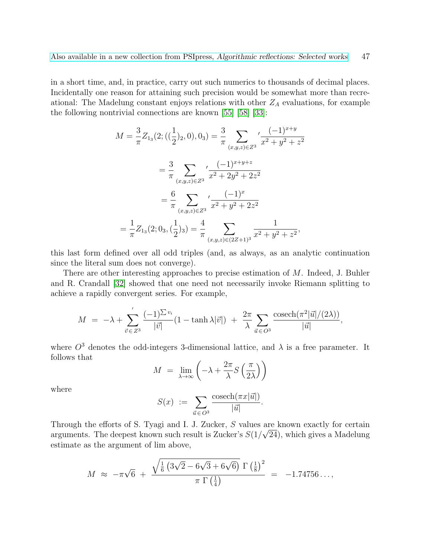in a short time, and, in practice, carry out such numerics to thousands of decimal places. Incidentally one reason for attaining such precision would be somewhat more than recreational: The Madelung constant enjoys relations with other  $Z_A$  evaluations, for example the following nontrivial connections are known [\[55\]](#page-51-14) [\[58\]](#page-52-2) [\[33\]](#page-50-13):

$$
M = \frac{3}{\pi} Z_{13}(2; ((\frac{1}{2})_2, 0), 0_3) = \frac{3}{\pi} \sum_{(x,y,z) \in Z^3} \frac{(-1)^{x+y}}{x^2 + y^2 + z^2}
$$
  

$$
= \frac{3}{\pi} \sum_{(x,y,z) \in Z^3} \frac{(-1)^{x+y+z}}{x^2 + 2y^2 + 2z^2}
$$
  

$$
= \frac{6}{\pi} \sum_{(x,y,z) \in Z^3} \frac{(-1)^x}{x^2 + y^2 + 2z^2}
$$
  

$$
= \frac{1}{\pi} Z_{13}(2; 0_3, (\frac{1}{2})_3) = \frac{4}{\pi} \sum_{(x,y,z) \in (2Z+1)^3} \frac{1}{x^2 + y^2 + z^2},
$$

this last form defined over all odd triples (and, as always, as an analytic continuation since the literal sum does not converge).

There are other interesting approaches to precise estimation of M. Indeed, J. Buhler and R. Crandall [\[32\]](#page-50-12) showed that one need not necessarily invoke Riemann splitting to achieve a rapidly convergent series. For example,

$$
M = -\lambda + \sum_{\vec{v} \in Z^3} ' \frac{(-1)^{\sum v_i}}{|\vec{v}|} (1 - \tanh \lambda |\vec{v}|) + \frac{2\pi}{\lambda} \sum_{\vec{u} \in O^3} \frac{\operatorname{cosech}(\pi^2 |\vec{u}|/(2\lambda))}{|\vec{u}|},
$$

where  $O^3$  denotes the odd-integers 3-dimensional lattice, and  $\lambda$  is a free parameter. It follows that

$$
M = \lim_{\lambda \to \infty} \left( -\lambda + \frac{2\pi}{\lambda} S\left(\frac{\pi}{2\lambda}\right) \right)
$$

where

$$
S(x) := \sum_{\vec{u} \in O^3} \frac{\operatorname{cosech}(\pi x|\vec{u}|)}{|\vec{u}|}.
$$

Through the efforts of S. Tyagi and I. J. Zucker,  $S$  values are known exactly for certain arguments. The deepest known such result is Zucker's  $S(1/\sqrt{24})$ , which gives a Madelung estimate as the argument of lim above,

$$
M \approx -\pi\sqrt{6} + \frac{\sqrt{\frac{1}{6}(3\sqrt{2}-6\sqrt{3}+6\sqrt{6})}\Gamma(\frac{1}{8})^2}{\pi \Gamma(\frac{1}{4})} = -1.74756...,
$$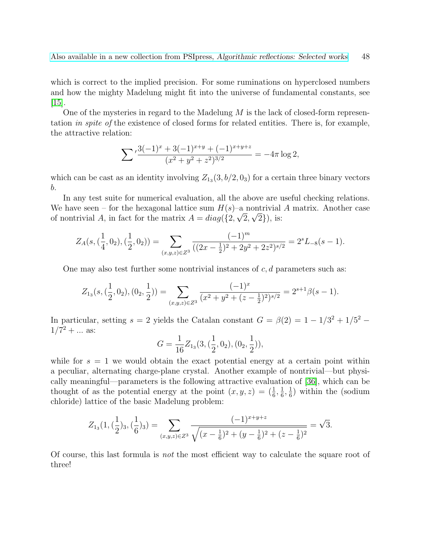which is correct to the implied precision. For some ruminations on hyperclosed numbers and how the mighty Madelung might fit into the universe of fundamental constants, see  $|15|$ .

One of the mysteries in regard to the Madelung  $M$  is the lack of closed-form representation in spite of the existence of closed forms for related entities. There is, for example, the attractive relation:

$$
\sum \frac{3(-1)^x + 3(-1)^{x+y} + (-1)^{x+y+z}}{(x^2 + y^2 + z^2)^{3/2}} = -4\pi \log 2,
$$

which can be cast as an identity involving  $Z_{13}(3, b/2, 0<sub>3</sub>)$  for a certain three binary vectors b.

In any test suite for numerical evaluation, all the above are useful checking relations. We have seen – for the hexagonal lattice sum  $H(s)$ –a nontrivial A matrix. Another case of nontrivial A, in fact for the matrix  $A = diag({2, \sqrt{2}, \sqrt{2}})$ , is:

$$
Z_A(s, (\frac{1}{4}, 0_2), (\frac{1}{2}, 0_2)) = \sum_{(x,y,z)\in Z^3} \frac{(-1)^m}{((2x - \frac{1}{2})^2 + 2y^2 + 2z^2)^{s/2}} = 2^s L_{-8}(s - 1).
$$

One may also test further some nontrivial instances of  $c, d$  parameters such as:

$$
Z_{1_3}(s, (\frac{1}{2}, 0_2), (0_2, \frac{1}{2})) = \sum_{(x,y,z)\in Z^3} \frac{(-1)^x}{(x^2 + y^2 + (z - \frac{1}{2})^2)^{s/2}} = 2^{s+1}\beta(s-1).
$$

In particular, setting  $s = 2$  yields the Catalan constant  $G = \beta(2) = 1 - 1/3^2 + 1/5^2$  $1/7^2 + ...$  as:

$$
G = \frac{1}{16} Z_{13}(3, (\frac{1}{2}, 0_2), (0_2, \frac{1}{2})),
$$

while for  $s = 1$  we would obtain the exact potential energy at a certain point within a peculiar, alternating charge-plane crystal. Another example of nontrivial—but physically meaningful—parameters is the following attractive evaluation of [\[36\]](#page-50-14), which can be thought of as the potential energy at the point  $(x, y, z) = \left(\frac{1}{6}, \frac{1}{6}\right)$  $\frac{1}{6}, \frac{1}{6}$  $\frac{1}{6}$ ) within the (sodium chloride) lattice of the basic Madelung problem:

$$
Z_{1_3}(1,(\frac{1}{2})_3,(\frac{1}{6})_3)=\sum_{(x,y,z)\in Z^3}\frac{(-1)^{x+y+z}}{\sqrt{(x-\frac{1}{6})^2+(y-\frac{1}{6})^2+(z-\frac{1}{6})^2}}=\sqrt{3}.
$$

Of course, this last formula is not the most efficient way to calculate the square root of three!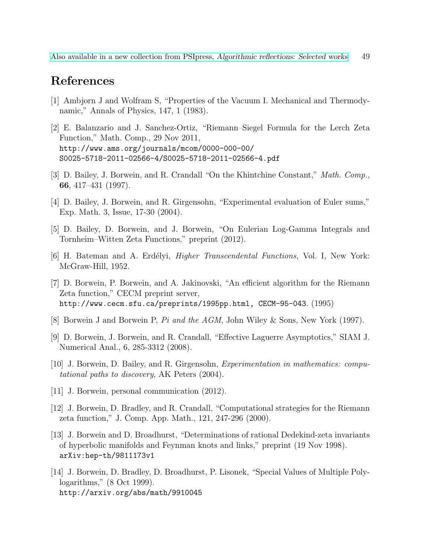# References

- <span id="page-48-12"></span>[1] Ambjorn J and Wolfram S, "Properties of the Vacuum I. Mechanical and Thermodynamic," Annals of Physics, 147, 1 (1983).
- <span id="page-48-2"></span>[2] E. Balanzario and J. Sanchez-Ortiz, "Riemann–Siegel Formula for the Lerch Zeta Function," Math. Comp., 29 Nov 2011, http://www.ams.org/journals/mcom/0000-000-00/ S0025-5718-2011-02566-4/S0025-5718-2011-02566-4.pdf
- <span id="page-48-6"></span>[3] D. Bailey, J. Borwein, and R. Crandall "On the Khintchine Constant," Math. Comp., 66, 417–431 (1997).
- <span id="page-48-8"></span>[4] D. Bailey, J. Borwein, and R. Girgensohn, "Experimental evaluation of Euler sums," Exp. Math. 3, Issue, 17-30 (2004).
- <span id="page-48-3"></span>[5] D. Bailey, D. Borwein, and J. Borwein, "On Eulerian Log-Gamma Integrals and Tornheim–Witten Zeta Functions," preprint (2012).
- <span id="page-48-1"></span>[6] H. Bateman and A. Erdélyi, *Higher Transcendental Functions*, Vol. I, New York: McGraw-Hill, 1952.
- <span id="page-48-5"></span>[7] D. Borwein, P. Borwein, and A. Jakinovski, "An efficient algorithm for the Riemann Zeta function," CECM preprint server, http://www.cecm.sfu.ca/preprints/1995pp.html, CECM-95-043. (1995)
- <span id="page-48-13"></span>[8] Borwein J and Borwein P, Pi and the AGM, John Wiley & Sons, New York (1997).
- <span id="page-48-4"></span>[9] D. Borwein, J. Borwein, and R. Crandall, "Effective Laguerre Asymptotics," SIAM J. Numerical Anal., 6, 285-3312 (2008).
- <span id="page-48-9"></span>[10] J. Borwein, D. Bailey, and R. Girgensohn, Experimentation in mathematics: computational paths to discovery, AK Peters (2004).
- <span id="page-48-10"></span>[11] J. Borwein, personal communication (2012).
- <span id="page-48-0"></span>[12] J. Borwein, D. Bradley, and R. Crandall, "Computational strategies for the Riemann zeta function," J. Comp. App. Math., 121, 247-296 (2000).
- <span id="page-48-11"></span>[13] J. Borwein and D. Broadhurst, "Determinations of rational Dedekind-zeta invariants of hyperbolic manifolds and Feynman knots and links," preprint (19 Nov 1998). arXiv:hep-th/9811173v1
- <span id="page-48-7"></span>[14] J. Borwein, D. Bradley, D. Broadhurst, P. Lisonek, "Special Values of Multiple Polylogarithms," (8 Oct 1999). http://arxiv.org/abs/math/9910045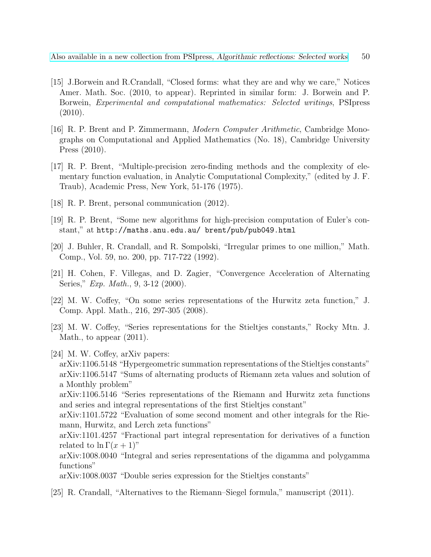- <span id="page-49-10"></span>[15] J.Borwein and R.Crandall, "Closed forms: what they are and why we care," Notices Amer. Math. Soc. (2010, to appear). Reprinted in similar form: J. Borwein and P. Borwein, Experimental and computational mathematics: Selected writings, PSIpress (2010).
- <span id="page-49-0"></span>[16] R. P. Brent and P. Zimmermann, Modern Computer Arithmetic, Cambridge Monographs on Computational and Applied Mathematics (No. 18), Cambridge University Press (2010).
- <span id="page-49-1"></span>[17] R. P. Brent, "Multiple-precision zero-finding methods and the complexity of elementary function evaluation, in Analytic Computational Complexity," (edited by J. F. Traub), Academic Press, New York, 51-176 (1975).
- <span id="page-49-5"></span>[18] R. P. Brent, personal communication (2012).
- <span id="page-49-6"></span>[19] R. P. Brent, "Some new algorithms for high-precision computation of Euler's constant," at http://maths.anu.edu.au/ brent/pub/pub049.html
- <span id="page-49-2"></span>[20] J. Buhler, R. Crandall, and R. Sompolski, "Irregular primes to one million," Math. Comp., Vol. 59, no. 200, pp. 717-722 (1992).
- <span id="page-49-9"></span>[21] H. Cohen, F. Villegas, and D. Zagier, "Convergence Acceleration of Alternating Series," *Exp. Math.*, 9, 3-12 (2000).
- <span id="page-49-7"></span>[22] M. W. Coffey, "On some series representations of the Hurwitz zeta function," J. Comp. Appl. Math., 216, 297-305 (2008).
- <span id="page-49-8"></span>[23] M. W. Coffey, "Series representations for the Stieltjes constants," Rocky Mtn. J. Math., to appear (2011).
- <span id="page-49-3"></span>[24] M. W. Coffey, arXiv papers:
	- arXiv:1106.5148 "Hypergeometric summation representations of the Stieltjes constants" arXiv:1106.5147 "Sums of alternating products of Riemann zeta values and solution of a Monthly problem"

arXiv:1106.5146 "Series representations of the Riemann and Hurwitz zeta functions and series and integral representations of the first Stieltjes constant"

arXiv:1101.5722 "Evaluation of some second moment and other integrals for the Riemann, Hurwitz, and Lerch zeta functions"

arXiv:1101.4257 "Fractional part integral representation for derivatives of a function related to  $\ln \Gamma(x+1)$ "

arXiv:1008.0040 "Integral and series representations of the digamma and polygamma functions"

arXiv:1008.0037 "Double series expression for the Stieltjes constants"

<span id="page-49-4"></span>[25] R. Crandall, "Alternatives to the Riemann–Siegel formula," manuscript (2011).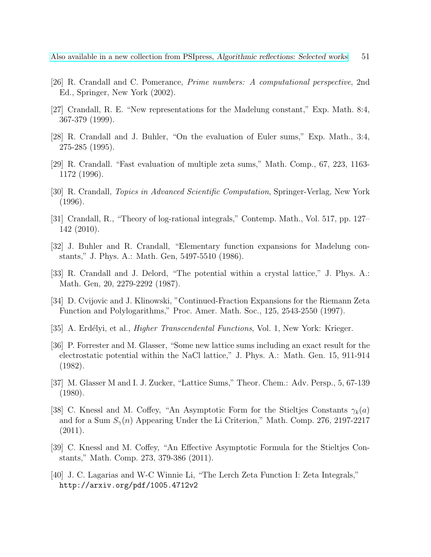- <span id="page-50-1"></span>[26] R. Crandall and C. Pomerance, Prime numbers: A computational perspective, 2nd Ed., Springer, New York (2002).
- <span id="page-50-10"></span>[27] Crandall, R. E. "New representations for the Madelung constant," Exp. Math. 8:4, 367-379 (1999).
- <span id="page-50-7"></span>[28] R. Crandall and J. Buhler, "On the evaluation of Euler sums," Exp. Math., 3:4, 275-285 (1995).
- <span id="page-50-8"></span>[29] R. Crandall. "Fast evaluation of multiple zeta sums," Math. Comp., 67, 223, 1163- 1172 (1996).
- <span id="page-50-2"></span>[30] R. Crandall, Topics in Advanced Scientific Computation, Springer-Verlag, New York (1996).
- <span id="page-50-9"></span>[31] Crandall, R., "Theory of log-rational integrals," Contemp. Math., Vol. 517, pp. 127– 142 (2010).
- <span id="page-50-12"></span>[32] J. Buhler and R. Crandall, "Elementary function expansions for Madelung constants," J. Phys. A.: Math. Gen, 5497-5510 (1986).
- <span id="page-50-13"></span>[33] R. Crandall and J. Delord, "The potential within a crystal lattice," J. Phys. A.: Math. Gen, 20, 2279-2292 (1987).
- <span id="page-50-3"></span>[34] D. Cvijovic and J. Klinowski, "Continued-Fraction Expansions for the Riemann Zeta Function and Polylogarithms," Proc. Amer. Math. Soc., 125, 2543-2550 (1997).
- <span id="page-50-4"></span>[35] A. Erdélyi, et al., *Higher Transcendental Functions*, Vol. 1, New York: Krieger.
- <span id="page-50-14"></span>[36] P. Forrester and M. Glasser, "Some new lattice sums including an exact result for the electrostatic potential within the NaCl lattice," J. Phys. A.: Math. Gen. 15, 911-914 (1982).
- <span id="page-50-11"></span>[37] M. Glasser M and I. J. Zucker, "Lattice Sums," Theor. Chem.: Adv. Persp., 5, 67-139 (1980).
- <span id="page-50-5"></span>[38] C. Knessl and M. Coffey, "An Asymptotic Form for the Stieltjes Constants  $\gamma_k(a)$ and for a Sum  $S_{\gamma}(n)$  Appearing Under the Li Criterion," Math. Comp. 276, 2197-2217 (2011).
- <span id="page-50-6"></span>[39] C. Knessl and M. Coffey, "An Effective Asymptotic Formula for the Stieltjes Constants," Math. Comp. 273, 379-386 (2011).
- <span id="page-50-0"></span>[40] J. C. Lagarias and W-C Winnie Li, "The Lerch Zeta Function I: Zeta Integrals," http://arxiv.org/pdf/1005.4712v2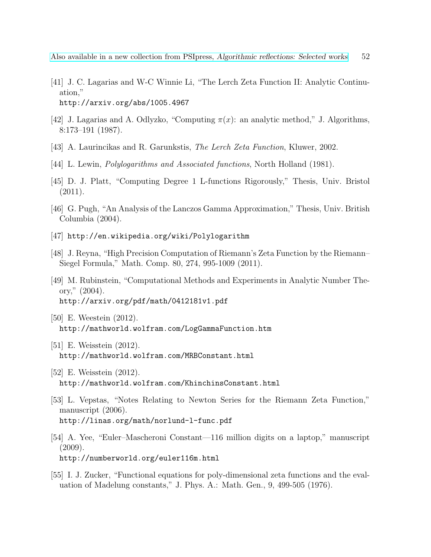- <span id="page-51-1"></span>[41] J. C. Lagarias and W-C Winnie Li, "The Lerch Zeta Function II: Analytic Continuation," http://arxiv.org/abs/1005.4967
- <span id="page-51-3"></span>[42] J. Lagarias and A. Odlyzko, "Computing  $\pi(x)$ : an analytic method," J. Algorithms, 8:173–191 (1987).
- <span id="page-51-0"></span>[43] A. Laurincikas and R. Garunkstis, The Lerch Zeta Function, Kluwer, 2002.
- <span id="page-51-8"></span>[44] L. Lewin, Polylogarithms and Associated functions, North Holland (1981).
- <span id="page-51-4"></span>[45] D. J. Platt, "Computing Degree 1 L-functions Rigorously," Thesis, Univ. Bristol (2011).
- <span id="page-51-6"></span>[46] G. Pugh, "An Analysis of the Lanczos Gamma Approximation," Thesis, Univ. British Columbia (2004).
- <span id="page-51-13"></span>[47] http://en.wikipedia.org/wiki/Polylogarithm
- <span id="page-51-2"></span>[48] J. Reyna, "High Precision Computation of Riemann's Zeta Function by the Riemann– Siegel Formula," Math. Comp. 80, 274, 995-1009 (2011).
- <span id="page-51-5"></span>[49] M. Rubinstein, "Computational Methods and Experiments in Analytic Number Theory," (2004). http://arxiv.org/pdf/math/0412181v1.pdf
- <span id="page-51-10"></span>[50] E. Weestein (2012). http://mathworld.wolfram.com/LogGammaFunction.htm
- <span id="page-51-12"></span>[51] E. Weisstein (2012). http://mathworld.wolfram.com/MRBConstant.html
- <span id="page-51-11"></span>[52] E. Weisstein (2012). http://mathworld.wolfram.com/KhinchinsConstant.html
- <span id="page-51-7"></span>[53] L. Vepstas, "Notes Relating to Newton Series for the Riemann Zeta Function," manuscript (2006). http://linas.org/math/norlund-l-func.pdf
- <span id="page-51-9"></span>[54] A. Yee, "Euler–Mascheroni Constant—116 million digits on a laptop," manuscript  $(2009).$ http://numberworld.org/euler116m.html
- <span id="page-51-14"></span>[55] I. J. Zucker, "Functional equations for poly-dimensional zeta functions and the evaluation of Madelung constants," J. Phys. A.: Math. Gen., 9, 499-505 (1976).